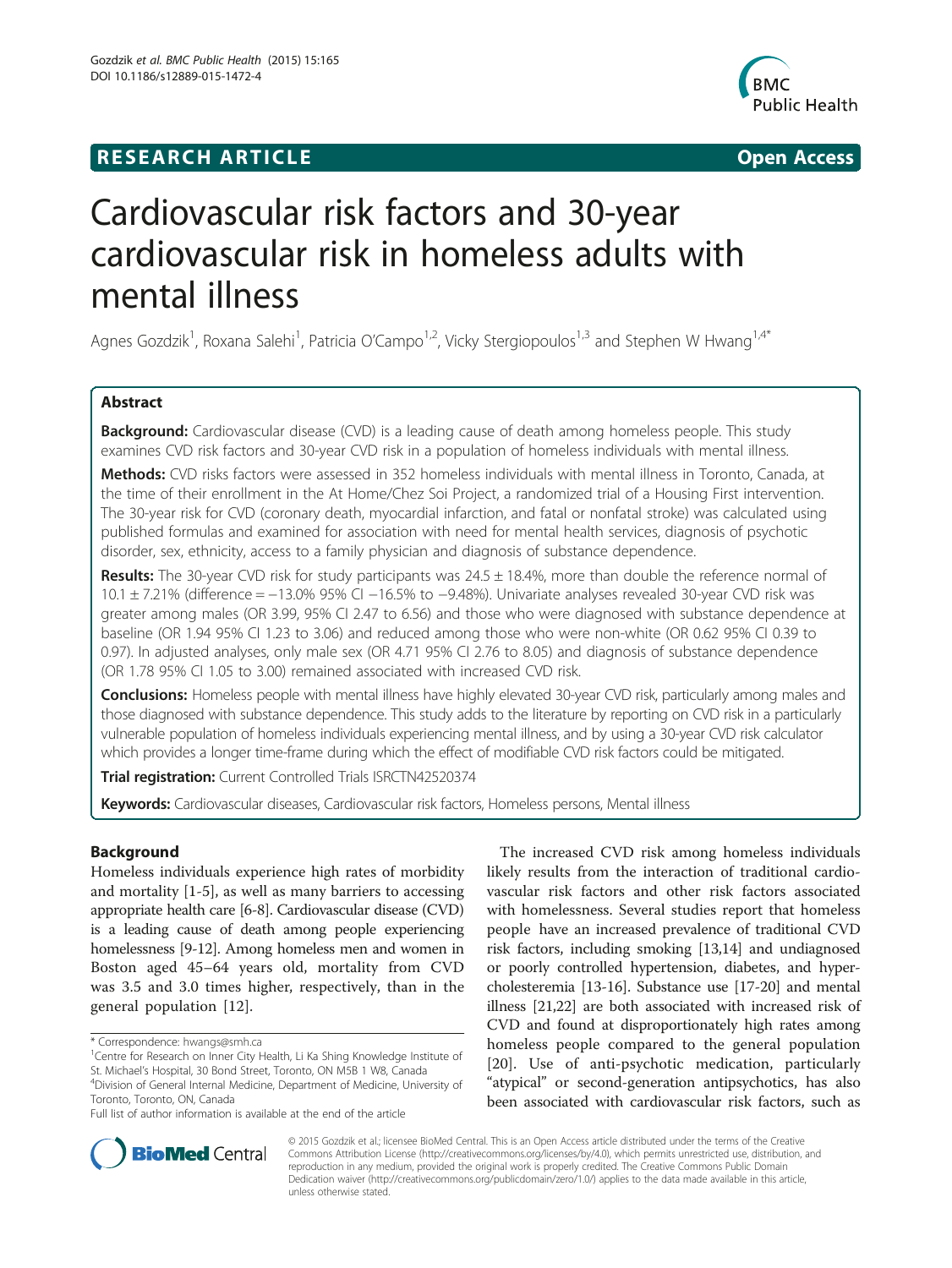# **RESEARCH ARTICLE Example 2014 CONSIDERING CONSIDERING CONSIDERING CONSIDERING CONSIDERING CONSIDERING CONSIDERING CONSIDERING CONSIDERING CONSIDERING CONSIDERING CONSIDERING CONSIDERING CONSIDERING CONSIDERING CONSIDE**



# Cardiovascular risk factors and 30-year cardiovascular risk in homeless adults with mental illness

Agnes Gozdzik<sup>1</sup>, Roxana Salehi<sup>1</sup>, Patricia O'Campo<sup>1,2</sup>, Vicky Stergiopoulos<sup>1,3</sup> and Stephen W Hwang<sup>1,4\*</sup>

# Abstract

Background: Cardiovascular disease (CVD) is a leading cause of death among homeless people. This study examines CVD risk factors and 30-year CVD risk in a population of homeless individuals with mental illness.

Methods: CVD risks factors were assessed in 352 homeless individuals with mental illness in Toronto, Canada, at the time of their enrollment in the At Home/Chez Soi Project, a randomized trial of a Housing First intervention. The 30-year risk for CVD (coronary death, myocardial infarction, and fatal or nonfatal stroke) was calculated using published formulas and examined for association with need for mental health services, diagnosis of psychotic disorder, sex, ethnicity, access to a family physician and diagnosis of substance dependence.

Results: The 30-year CVD risk for study participants was  $24.5 \pm 18.4\%$ , more than double the reference normal of 10.1 ± 7.21% (difference = −13.0% 95% CI −16.5% to −9.48%). Univariate analyses revealed 30-year CVD risk was greater among males (OR 3.99, 95% CI 2.47 to 6.56) and those who were diagnosed with substance dependence at baseline (OR 1.94 95% CI 1.23 to 3.06) and reduced among those who were non-white (OR 0.62 95% CI 0.39 to 0.97). In adjusted analyses, only male sex (OR 4.71 95% CI 2.76 to 8.05) and diagnosis of substance dependence (OR 1.78 95% CI 1.05 to 3.00) remained associated with increased CVD risk.

Conclusions: Homeless people with mental illness have highly elevated 30-year CVD risk, particularly among males and those diagnosed with substance dependence. This study adds to the literature by reporting on CVD risk in a particularly vulnerable population of homeless individuals experiencing mental illness, and by using a 30-year CVD risk calculator which provides a longer time-frame during which the effect of modifiable CVD risk factors could be mitigated.

Trial registration: Current Controlled Trials [ISRCTN42520374](http://www.isrctn.com/ISRCTN42520374)

Keywords: Cardiovascular diseases, Cardiovascular risk factors, Homeless persons, Mental illness

# Background

Homeless individuals experience high rates of morbidity and mortality [\[1-5\]](#page-10-0), as well as many barriers to accessing appropriate health care [\[6-8\]](#page-10-0). Cardiovascular disease (CVD) is a leading cause of death among people experiencing homelessness [\[9-12\]](#page-10-0). Among homeless men and women in Boston aged 45–64 years old, mortality from CVD was 3.5 and 3.0 times higher, respectively, than in the general population [[12\]](#page-10-0).

Full list of author information is available at the end of the article

The increased CVD risk among homeless individuals likely results from the interaction of traditional cardiovascular risk factors and other risk factors associated with homelessness. Several studies report that homeless people have an increased prevalence of traditional CVD risk factors, including smoking [\[13,14](#page-10-0)] and undiagnosed or poorly controlled hypertension, diabetes, and hypercholesteremia [[13-16\]](#page-10-0). Substance use [[17](#page-10-0)-[20](#page-10-0)] and mental illness [\[21,22\]](#page-10-0) are both associated with increased risk of CVD and found at disproportionately high rates among homeless people compared to the general population [[20\]](#page-10-0). Use of anti-psychotic medication, particularly "atypical" or second-generation antipsychotics, has also been associated with cardiovascular risk factors, such as



© 2015 Gozdzik et al.; licensee BioMed Central. This is an Open Access article distributed under the terms of the Creative Commons Attribution License [\(http://creativecommons.org/licenses/by/4.0\)](http://creativecommons.org/licenses/by/4.0), which permits unrestricted use, distribution, and reproduction in any medium, provided the original work is properly credited. The Creative Commons Public Domain Dedication waiver [\(http://creativecommons.org/publicdomain/zero/1.0/](http://creativecommons.org/publicdomain/zero/1.0/)) applies to the data made available in this article, unless otherwise stated.

<sup>\*</sup> Correspondence: [hwangs@smh.ca](mailto:hwangs@smh.ca) <sup>1</sup>

<sup>&</sup>lt;sup>1</sup>Centre for Research on Inner City Health, Li Ka Shing Knowledge Institute of St. Michael's Hospital, 30 Bond Street, Toronto, ON M5B 1 W8, Canada Division of General Internal Medicine, Department of Medicine, University of

Toronto, Toronto, ON, Canada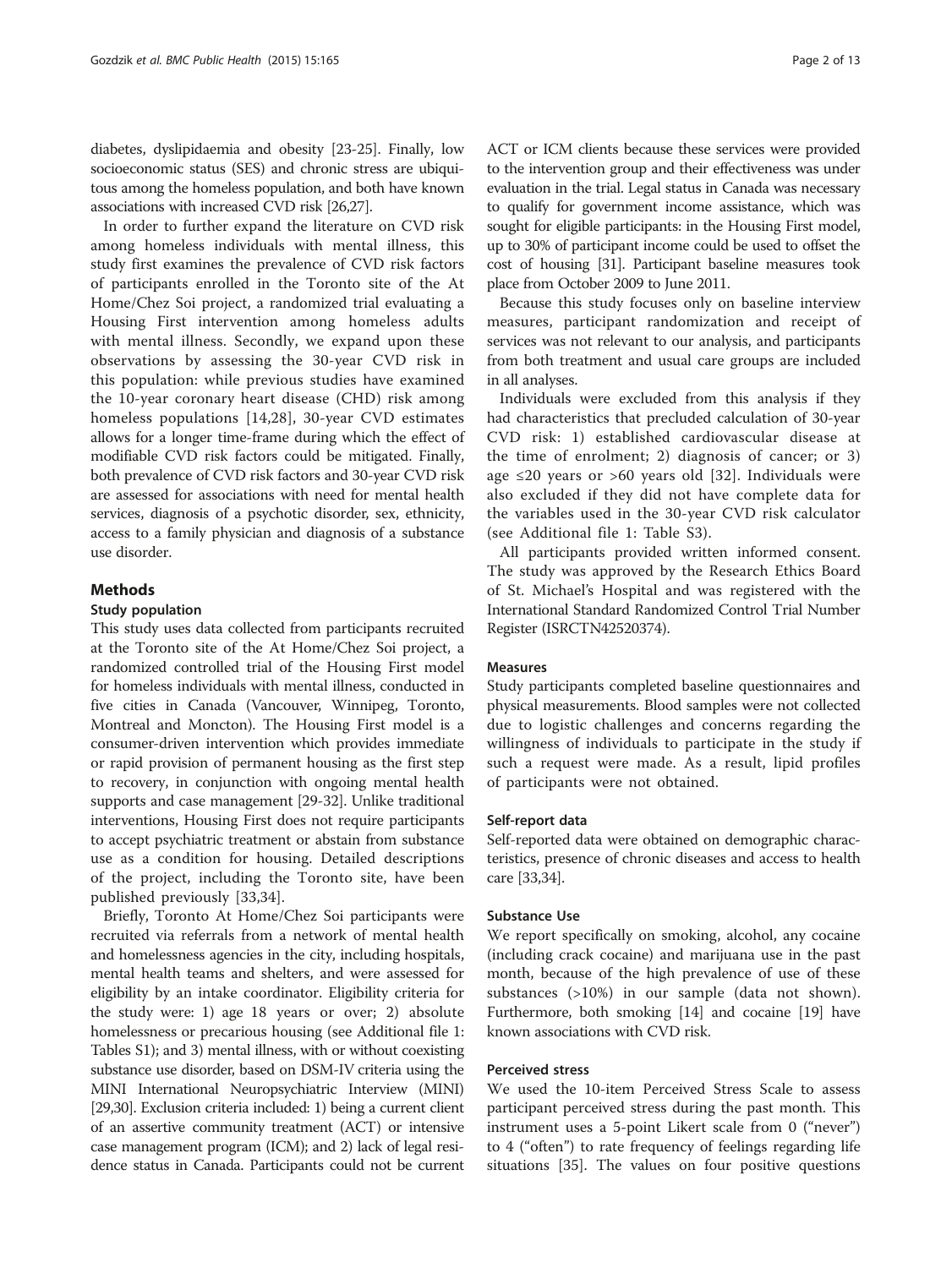diabetes, dyslipidaemia and obesity [\[23-25](#page-10-0)]. Finally, low socioeconomic status (SES) and chronic stress are ubiquitous among the homeless population, and both have known associations with increased CVD risk [\[26,27](#page-11-0)].

In order to further expand the literature on CVD risk among homeless individuals with mental illness, this study first examines the prevalence of CVD risk factors of participants enrolled in the Toronto site of the At Home/Chez Soi project, a randomized trial evaluating a Housing First intervention among homeless adults with mental illness. Secondly, we expand upon these observations by assessing the 30-year CVD risk in this population: while previous studies have examined the 10-year coronary heart disease (CHD) risk among homeless populations [\[14](#page-10-0),[28\]](#page-11-0), 30-year CVD estimates allows for a longer time-frame during which the effect of modifiable CVD risk factors could be mitigated. Finally, both prevalence of CVD risk factors and 30-year CVD risk are assessed for associations with need for mental health services, diagnosis of a psychotic disorder, sex, ethnicity, access to a family physician and diagnosis of a substance use disorder.

#### **Methods**

# Study population

This study uses data collected from participants recruited at the Toronto site of the At Home/Chez Soi project, a randomized controlled trial of the Housing First model for homeless individuals with mental illness, conducted in five cities in Canada (Vancouver, Winnipeg, Toronto, Montreal and Moncton). The Housing First model is a consumer-driven intervention which provides immediate or rapid provision of permanent housing as the first step to recovery, in conjunction with ongoing mental health supports and case management [\[29-32\]](#page-11-0). Unlike traditional interventions, Housing First does not require participants to accept psychiatric treatment or abstain from substance use as a condition for housing. Detailed descriptions of the project, including the Toronto site, have been published previously [[33,34\]](#page-11-0).

Briefly, Toronto At Home/Chez Soi participants were recruited via referrals from a network of mental health and homelessness agencies in the city, including hospitals, mental health teams and shelters, and were assessed for eligibility by an intake coordinator. Eligibility criteria for the study were: 1) age 18 years or over; 2) absolute homelessness or precarious housing (see Additional file [1](#page-10-0): Tables S1); and 3) mental illness, with or without coexisting substance use disorder, based on DSM-IV criteria using the MINI International Neuropsychiatric Interview (MINI) [[29,30\]](#page-11-0). Exclusion criteria included: 1) being a current client of an assertive community treatment (ACT) or intensive case management program (ICM); and 2) lack of legal residence status in Canada. Participants could not be current ACT or ICM clients because these services were provided to the intervention group and their effectiveness was under evaluation in the trial. Legal status in Canada was necessary to qualify for government income assistance, which was sought for eligible participants: in the Housing First model, up to 30% of participant income could be used to offset the cost of housing [\[31](#page-11-0)]. Participant baseline measures took place from October 2009 to June 2011.

Because this study focuses only on baseline interview measures, participant randomization and receipt of services was not relevant to our analysis, and participants from both treatment and usual care groups are included in all analyses.

Individuals were excluded from this analysis if they had characteristics that precluded calculation of 30-year CVD risk: 1) established cardiovascular disease at the time of enrolment; 2) diagnosis of cancer; or 3) age ≤20 years or >60 years old [[32\]](#page-11-0). Individuals were also excluded if they did not have complete data for the variables used in the 30-year CVD risk calculator (see Additional file [1](#page-10-0): Table S3).

All participants provided written informed consent. The study was approved by the Research Ethics Board of St. Michael's Hospital and was registered with the International Standard Randomized Control Trial Number Register (ISRCTN42520374).

#### Measures

Study participants completed baseline questionnaires and physical measurements. Blood samples were not collected due to logistic challenges and concerns regarding the willingness of individuals to participate in the study if such a request were made. As a result, lipid profiles of participants were not obtained.

#### Self-report data

Self-reported data were obtained on demographic characteristics, presence of chronic diseases and access to health care [\[33,34](#page-11-0)].

#### Substance Use

We report specifically on smoking, alcohol, any cocaine (including crack cocaine) and marijuana use in the past month, because of the high prevalence of use of these substances (>10%) in our sample (data not shown). Furthermore, both smoking [[14](#page-10-0)] and cocaine [[19](#page-10-0)] have known associations with CVD risk.

## Perceived stress

We used the 10-item Perceived Stress Scale to assess participant perceived stress during the past month. This instrument uses a 5-point Likert scale from 0 ("never") to 4 ("often") to rate frequency of feelings regarding life situations [[35](#page-11-0)]. The values on four positive questions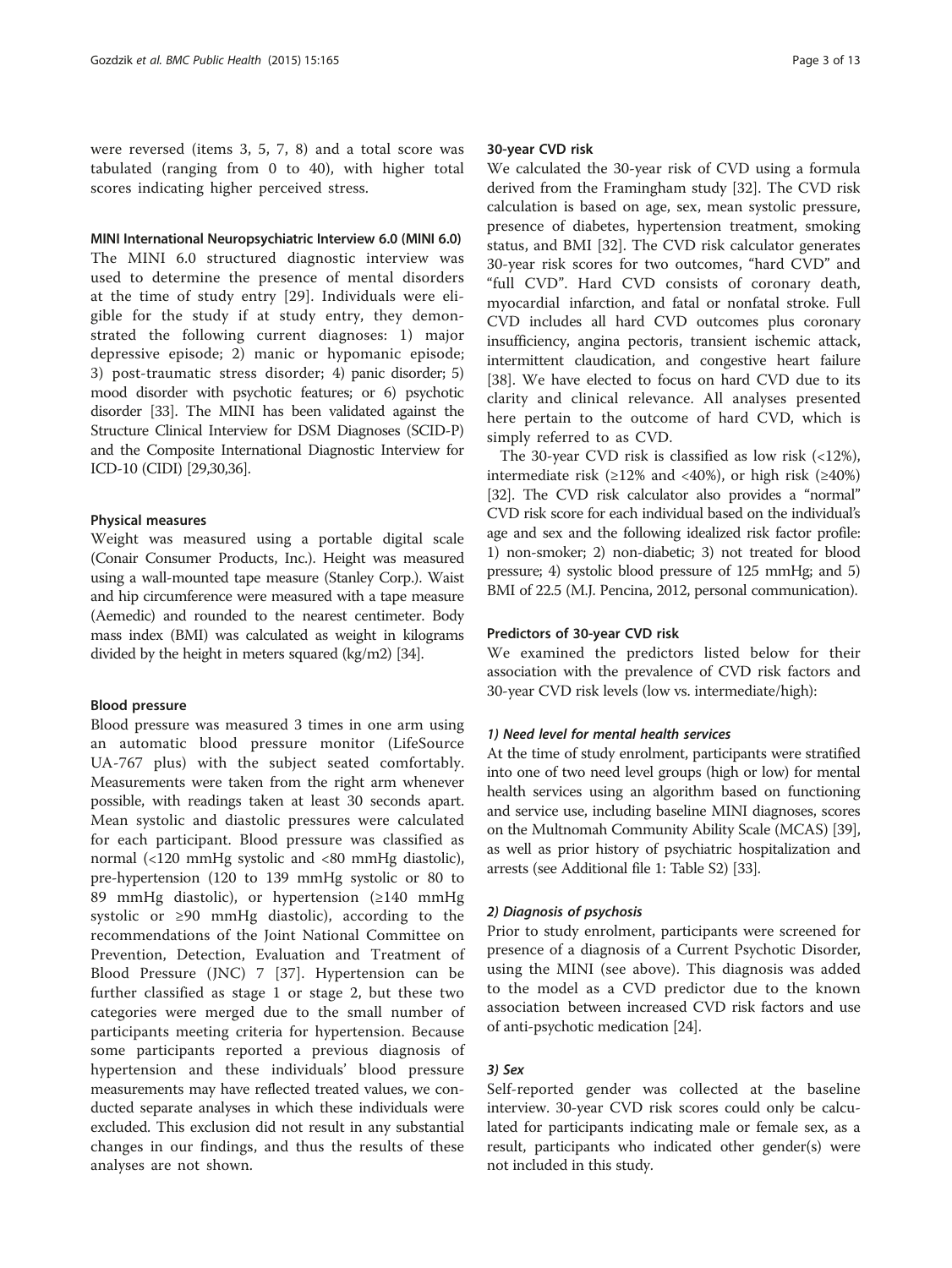were reversed (items 3, 5, 7, 8) and a total score was tabulated (ranging from 0 to 40), with higher total scores indicating higher perceived stress.

# MINI International Neuropsychiatric Interview 6.0 (MINI 6.0)

The MINI 6.0 structured diagnostic interview was used to determine the presence of mental disorders at the time of study entry [[29](#page-11-0)]. Individuals were eligible for the study if at study entry, they demonstrated the following current diagnoses: 1) major depressive episode; 2) manic or hypomanic episode; 3) post-traumatic stress disorder; 4) panic disorder; 5) mood disorder with psychotic features; or 6) psychotic disorder [\[33](#page-11-0)]. The MINI has been validated against the Structure Clinical Interview for DSM Diagnoses (SCID-P) and the Composite International Diagnostic Interview for ICD-10 (CIDI) [[29,30,36](#page-11-0)].

#### Physical measures

Weight was measured using a portable digital scale (Conair Consumer Products, Inc.). Height was measured using a wall-mounted tape measure (Stanley Corp.). Waist and hip circumference were measured with a tape measure (Aemedic) and rounded to the nearest centimeter. Body mass index (BMI) was calculated as weight in kilograms divided by the height in meters squared (kg/m2) [\[34](#page-11-0)].

#### Blood pressure

Blood pressure was measured 3 times in one arm using an automatic blood pressure monitor (LifeSource UA-767 plus) with the subject seated comfortably. Measurements were taken from the right arm whenever possible, with readings taken at least 30 seconds apart. Mean systolic and diastolic pressures were calculated for each participant. Blood pressure was classified as normal (<120 mmHg systolic and <80 mmHg diastolic), pre-hypertension (120 to 139 mmHg systolic or 80 to 89 mmHg diastolic), or hypertension (≥140 mmHg systolic or ≥90 mmHg diastolic), according to the recommendations of the Joint National Committee on Prevention, Detection, Evaluation and Treatment of Blood Pressure (JNC) 7 [\[37](#page-11-0)]. Hypertension can be further classified as stage 1 or stage 2, but these two categories were merged due to the small number of participants meeting criteria for hypertension. Because some participants reported a previous diagnosis of hypertension and these individuals' blood pressure measurements may have reflected treated values, we conducted separate analyses in which these individuals were excluded. This exclusion did not result in any substantial changes in our findings, and thus the results of these analyses are not shown.

#### 30-year CVD risk

We calculated the 30-year risk of CVD using a formula derived from the Framingham study [\[32](#page-11-0)]. The CVD risk calculation is based on age, sex, mean systolic pressure, presence of diabetes, hypertension treatment, smoking status, and BMI [[32\]](#page-11-0). The CVD risk calculator generates 30-year risk scores for two outcomes, "hard CVD" and "full CVD". Hard CVD consists of coronary death, myocardial infarction, and fatal or nonfatal stroke. Full CVD includes all hard CVD outcomes plus coronary insufficiency, angina pectoris, transient ischemic attack, intermittent claudication, and congestive heart failure [[38](#page-11-0)]. We have elected to focus on hard CVD due to its clarity and clinical relevance. All analyses presented here pertain to the outcome of hard CVD, which is simply referred to as CVD.

The 30-year CVD risk is classified as low risk (<12%), intermediate risk  $(≥12%$  and <40%), or high risk  $(≥40%)$ [[32](#page-11-0)]. The CVD risk calculator also provides a "normal" CVD risk score for each individual based on the individual's age and sex and the following idealized risk factor profile: 1) non-smoker; 2) non-diabetic; 3) not treated for blood pressure; 4) systolic blood pressure of 125 mmHg; and 5) BMI of 22.5 (M.J. Pencina, 2012, personal communication).

#### Predictors of 30-year CVD risk

We examined the predictors listed below for their association with the prevalence of CVD risk factors and 30-year CVD risk levels (low vs. intermediate/high):

#### 1) Need level for mental health services

At the time of study enrolment, participants were stratified into one of two need level groups (high or low) for mental health services using an algorithm based on functioning and service use, including baseline MINI diagnoses, scores on the Multnomah Community Ability Scale (MCAS) [\[39](#page-11-0)], as well as prior history of psychiatric hospitalization and arrests (see Additional file [1:](#page-10-0) Table S2) [[33](#page-11-0)].

#### 2) Diagnosis of psychosis

Prior to study enrolment, participants were screened for presence of a diagnosis of a Current Psychotic Disorder, using the MINI (see above). This diagnosis was added to the model as a CVD predictor due to the known association between increased CVD risk factors and use of anti-psychotic medication [\[24\]](#page-10-0).

#### 3) Sex

Self-reported gender was collected at the baseline interview. 30-year CVD risk scores could only be calculated for participants indicating male or female sex, as a result, participants who indicated other gender(s) were not included in this study.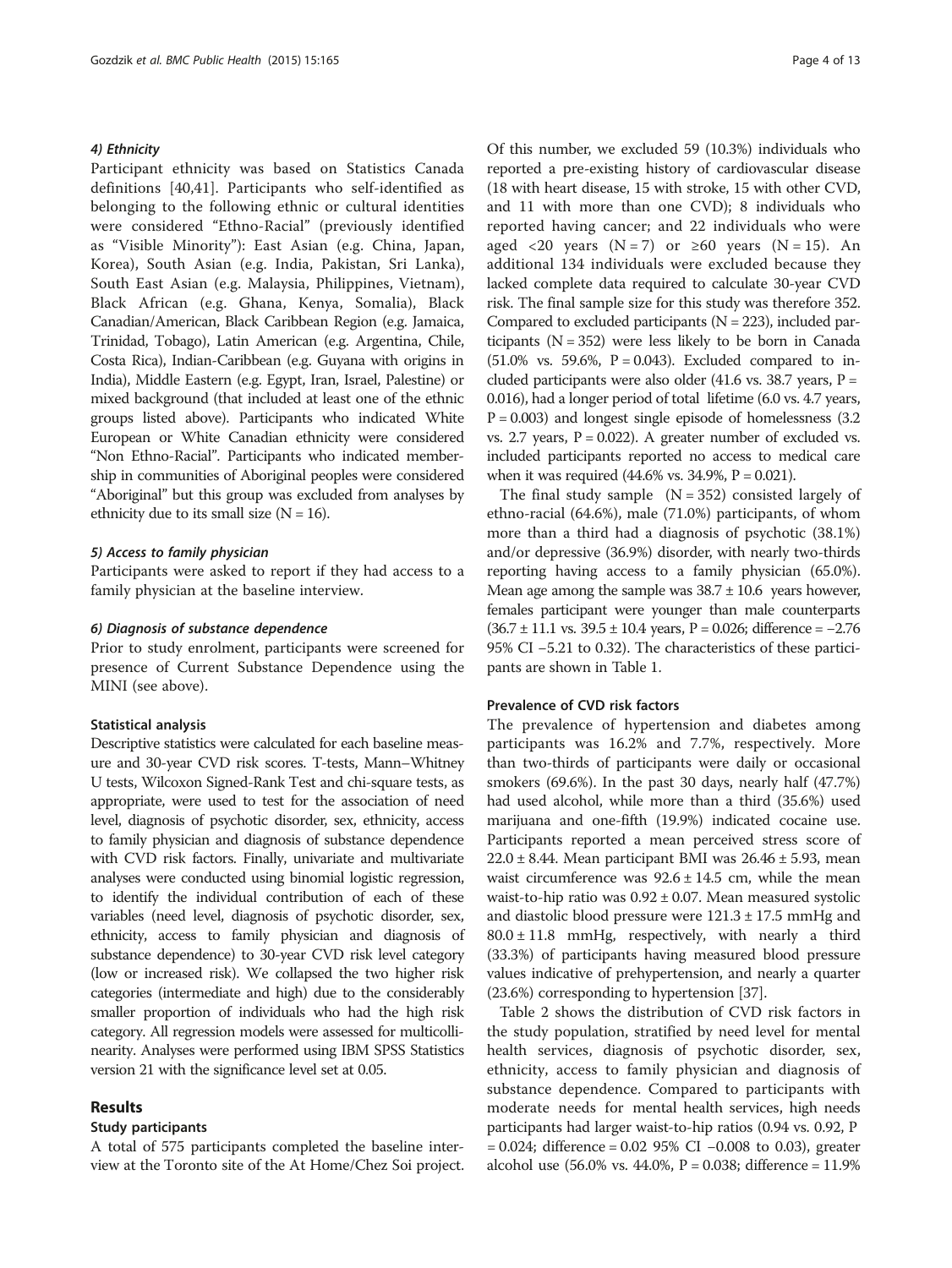#### 4) Ethnicity

Participant ethnicity was based on Statistics Canada definitions [\[40](#page-11-0),[41\]](#page-11-0). Participants who self-identified as belonging to the following ethnic or cultural identities were considered "Ethno-Racial" (previously identified as "Visible Minority"): East Asian (e.g. China, Japan, Korea), South Asian (e.g. India, Pakistan, Sri Lanka), South East Asian (e.g. Malaysia, Philippines, Vietnam), Black African (e.g. Ghana, Kenya, Somalia), Black Canadian/American, Black Caribbean Region (e.g. Jamaica, Trinidad, Tobago), Latin American (e.g. Argentina, Chile, Costa Rica), Indian-Caribbean (e.g. Guyana with origins in India), Middle Eastern (e.g. Egypt, Iran, Israel, Palestine) or mixed background (that included at least one of the ethnic groups listed above). Participants who indicated White European or White Canadian ethnicity were considered "Non Ethno-Racial". Participants who indicated membership in communities of Aboriginal peoples were considered "Aboriginal" but this group was excluded from analyses by ethnicity due to its small size  $(N = 16)$ .

#### 5) Access to family physician

Participants were asked to report if they had access to a family physician at the baseline interview.

#### 6) Diagnosis of substance dependence

Prior to study enrolment, participants were screened for presence of Current Substance Dependence using the MINI (see above).

#### Statistical analysis

Descriptive statistics were calculated for each baseline measure and 30-year CVD risk scores. T-tests, Mann–Whitney U tests, Wilcoxon Signed-Rank Test and chi-square tests, as appropriate, were used to test for the association of need level, diagnosis of psychotic disorder, sex, ethnicity, access to family physician and diagnosis of substance dependence with CVD risk factors. Finally, univariate and multivariate analyses were conducted using binomial logistic regression, to identify the individual contribution of each of these variables (need level, diagnosis of psychotic disorder, sex, ethnicity, access to family physician and diagnosis of substance dependence) to 30-year CVD risk level category (low or increased risk). We collapsed the two higher risk categories (intermediate and high) due to the considerably smaller proportion of individuals who had the high risk category. All regression models were assessed for multicollinearity. Analyses were performed using IBM SPSS Statistics version 21 with the significance level set at 0.05.

## Results

# Study participants

A total of 575 participants completed the baseline interview at the Toronto site of the At Home/Chez Soi project.

Of this number, we excluded 59 (10.3%) individuals who reported a pre-existing history of cardiovascular disease (18 with heart disease, 15 with stroke, 15 with other CVD, and 11 with more than one CVD); 8 individuals who reported having cancer; and 22 individuals who were aged <20 years  $(N = 7)$  or ≥60 years  $(N = 15)$ . An additional 134 individuals were excluded because they lacked complete data required to calculate 30-year CVD risk. The final sample size for this study was therefore 352. Compared to excluded participants ( $N = 223$ ), included participants ( $N = 352$ ) were less likely to be born in Canada (51.0% vs. 59.6%,  $P = 0.043$ ). Excluded compared to included participants were also older  $(41.6 \text{ vs. } 38.7 \text{ years}, P =$ 0.016), had a longer period of total lifetime (6.0 vs. 4.7 years,  $P = 0.003$ ) and longest single episode of homelessness (3.2) vs. 2.7 years,  $P = 0.022$ ). A greater number of excluded vs. included participants reported no access to medical care when it was required  $(44.6\% \text{ vs. } 34.9\%, P = 0.021)$ .

The final study sample  $(N = 352)$  consisted largely of ethno-racial (64.6%), male (71.0%) participants, of whom more than a third had a diagnosis of psychotic (38.1%) and/or depressive (36.9%) disorder, with nearly two-thirds reporting having access to a family physician (65.0%). Mean age among the sample was  $38.7 \pm 10.6$  years however, females participant were younger than male counterparts  $(36.7 \pm 11.1 \text{ vs. } 39.5 \pm 10.4 \text{ years}, P = 0.026; difference = -2.76$ 95% CI −5.21 to 0.32). The characteristics of these participants are shown in Table [1.](#page-4-0)

#### Prevalence of CVD risk factors

The prevalence of hypertension and diabetes among participants was 16.2% and 7.7%, respectively. More than two-thirds of participants were daily or occasional smokers (69.6%). In the past 30 days, nearly half (47.7%) had used alcohol, while more than a third (35.6%) used marijuana and one-fifth (19.9%) indicated cocaine use. Participants reported a mean perceived stress score of  $22.0 \pm 8.44$ . Mean participant BMI was  $26.46 \pm 5.93$ , mean waist circumference was  $92.6 \pm 14.5$  cm, while the mean waist-to-hip ratio was  $0.92 \pm 0.07$ . Mean measured systolic and diastolic blood pressure were  $121.3 \pm 17.5$  mmHg and  $80.0 \pm 11.8$  mmHg, respectively, with nearly a third (33.3%) of participants having measured blood pressure values indicative of prehypertension, and nearly a quarter (23.6%) corresponding to hypertension [\[37\]](#page-11-0).

Table [2](#page-5-0) shows the distribution of CVD risk factors in the study population, stratified by need level for mental health services, diagnosis of psychotic disorder, sex, ethnicity, access to family physician and diagnosis of substance dependence. Compared to participants with moderate needs for mental health services, high needs participants had larger waist-to-hip ratios (0.94 vs. 0.92, P = 0.024; difference = 0.02 95% CI −0.008 to 0.03), greater alcohol use (56.0% vs. 44.0%, P = 0.038; difference = 11.9%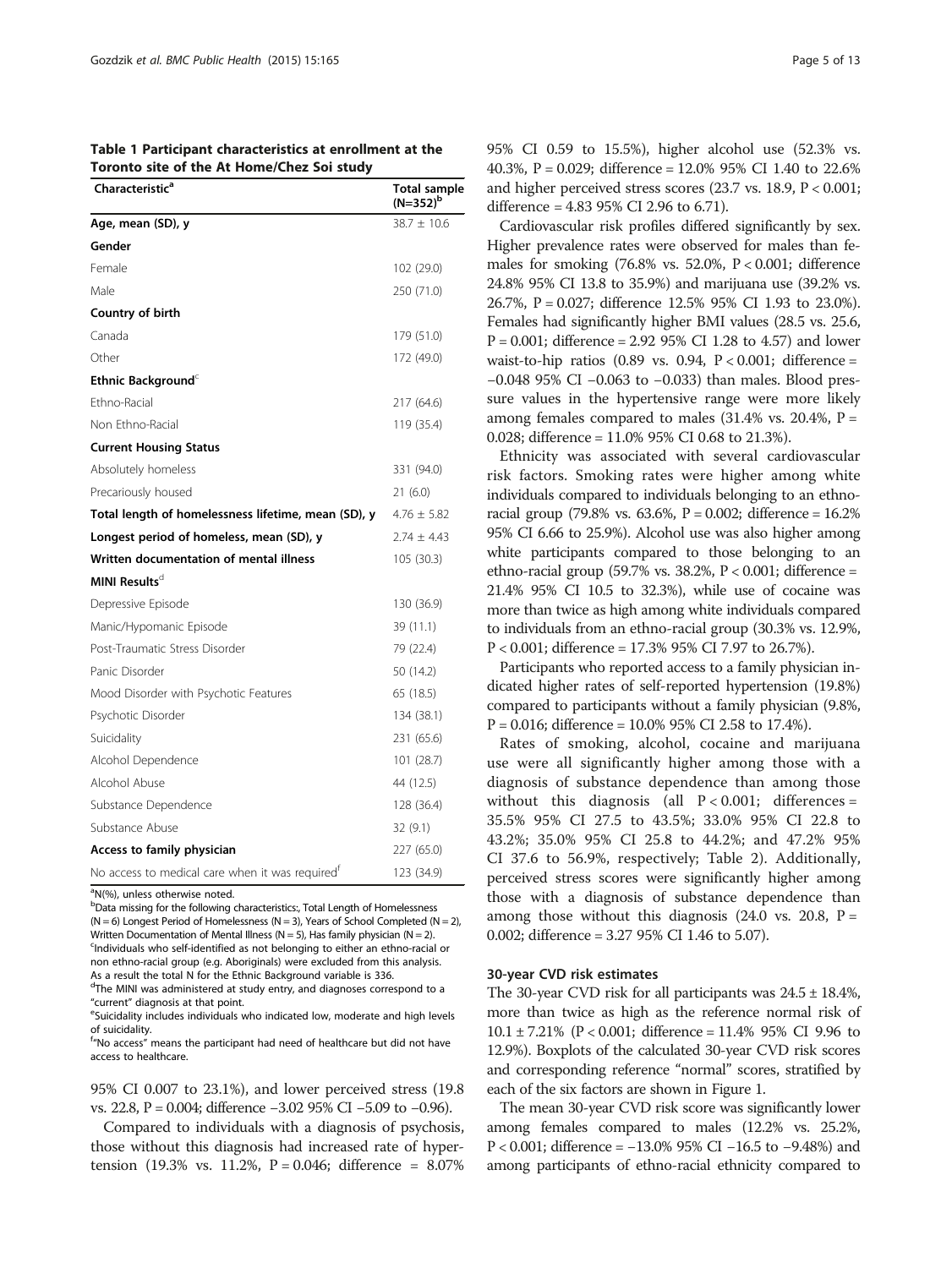<span id="page-4-0"></span>Table 1 Participant characteristics at enrollment at the Toronto site of the At Home/Chez Soi study

| Characteristic <sup>a</sup>                                 | Total sample<br>$(N=352)^b$ |
|-------------------------------------------------------------|-----------------------------|
| Age, mean (SD), y                                           | $38.7 \pm 10.6$             |
| Gender                                                      |                             |
| Female                                                      | 102 (29.0)                  |
| Male                                                        | 250 (71.0)                  |
| Country of birth                                            |                             |
| Canada                                                      | 179 (51.0)                  |
| Other                                                       | 172 (49.0)                  |
| Ethnic Background <sup>c</sup>                              |                             |
| Ethno-Racial                                                | 217 (64.6)                  |
| Non Ethno-Racial                                            | 119 (35.4)                  |
| <b>Current Housing Status</b>                               |                             |
| Absolutely homeless                                         | 331 (94.0)                  |
| Precariously housed                                         | 21(6.0)                     |
| Total length of homelessness lifetime, mean (SD), y         | $4.76 \pm 5.82$             |
| Longest period of homeless, mean (SD), y                    | $2.74 \pm 4.43$             |
| Written documentation of mental illness                     | 105(30.3)                   |
| MINI Results <sup>d</sup>                                   |                             |
| Depressive Episode                                          | 130 (36.9)                  |
| Manic/Hypomanic Episode                                     | 39 (11.1)                   |
| Post-Traumatic Stress Disorder                              | 79 (22.4)                   |
| Panic Disorder                                              | 50 (14.2)                   |
| Mood Disorder with Psychotic Features                       | 65 (18.5)                   |
| Psychotic Disorder                                          | 134 (38.1)                  |
| Suicidality                                                 | 231 (65.6)                  |
| Alcohol Dependence                                          | 101(28.7)                   |
| Alcohol Abuse                                               | 44 (12.5)                   |
| Substance Dependence                                        | 128 (36.4)                  |
| Substance Abuse                                             | 32 (9.1)                    |
| Access to family physician                                  | 227 (65.0)                  |
| No access to medical care when it was required <sup>t</sup> | 123 (34.9)                  |

<sup>a</sup>N(%), unless otherwise noted.

<sup>b</sup>Data missing for the following characteristics:, Total Length of Homelessness  $(N = 6)$  Longest Period of Homelessness  $(N = 3)$ , Years of School Completed  $(N = 2)$ , Written Documentation of Mental Illness ( $N = 5$ ), Has family physician ( $N = 2$ ). <sup>c</sup>Individuals who self-identified as not belonging to either an ethno-racial or non ethno-racial group (e.g. Aboriginals) were excluded from this analysis. As a result the total N for the Ethnic Background variable is 336.

<sup>d</sup>The MINI was administered at study entry, and diagnoses correspond to a "current" diagnosis at that point.

Suicidality includes individuals who indicated low, moderate and high levels of suicidality.

f "No access" means the participant had need of healthcare but did not have access to healthcare.

95% CI 0.007 to 23.1%), and lower perceived stress (19.8 vs. 22.8, P = 0.004; difference −3.02 95% CI −5.09 to −0.96).

Compared to individuals with a diagnosis of psychosis, those without this diagnosis had increased rate of hypertension (19.3% vs. 11.2%,  $P = 0.046$ ; difference = 8.07% 95% CI 0.59 to 15.5%), higher alcohol use (52.3% vs. 40.3%, P = 0.029; difference = 12.0% 95% CI 1.40 to 22.6% and higher perceived stress scores (23.7 vs. 18.9, P < 0.001; difference = 4.83 95% CI 2.96 to 6.71).

Cardiovascular risk profiles differed significantly by sex. Higher prevalence rates were observed for males than females for smoking  $(76.8\% \text{ vs. } 52.0\%, \text{ P} < 0.001;$  difference 24.8% 95% CI 13.8 to 35.9%) and marijuana use (39.2% vs. 26.7%, P = 0.027; difference 12.5% 95% CI 1.93 to 23.0%). Females had significantly higher BMI values (28.5 vs. 25.6,  $P = 0.001$ ; difference = 2.92 95% CI 1.28 to 4.57) and lower waist-to-hip ratios (0.89 vs. 0.94,  $P < 0.001$ ; difference = −0.048 95% CI −0.063 to −0.033) than males. Blood pressure values in the hypertensive range were more likely among females compared to males  $(31.4\% \text{ vs. } 20.4\%, \text{ P} =$ 0.028; difference = 11.0% 95% CI 0.68 to 21.3%).

Ethnicity was associated with several cardiovascular risk factors. Smoking rates were higher among white individuals compared to individuals belonging to an ethnoracial group (79.8% vs. 63.6%,  $P = 0.002$ ; difference = 16.2% 95% CI 6.66 to 25.9%). Alcohol use was also higher among white participants compared to those belonging to an ethno-racial group (59.7% vs. 38.2%,  $P < 0.001$ ; difference = 21.4% 95% CI 10.5 to 32.3%), while use of cocaine was more than twice as high among white individuals compared to individuals from an ethno-racial group (30.3% vs. 12.9%, P < 0.001; difference = 17.3% 95% CI 7.97 to 26.7%).

Participants who reported access to a family physician indicated higher rates of self-reported hypertension (19.8%) compared to participants without a family physician (9.8%,  $P = 0.016$ ; difference = 10.0% 95% CI 2.58 to 17.4%).

Rates of smoking, alcohol, cocaine and marijuana use were all significantly higher among those with a diagnosis of substance dependence than among those without this diagnosis (all  $P < 0.001$ ; differences = 35.5% 95% CI 27.5 to 43.5%; 33.0% 95% CI 22.8 to 43.2%; 35.0% 95% CI 25.8 to 44.2%; and 47.2% 95% CI 37.6 to 56.9%, respectively; Table [2\)](#page-5-0). Additionally, perceived stress scores were significantly higher among those with a diagnosis of substance dependence than among those without this diagnosis  $(24.0 \text{ vs. } 20.8, \text{ P} =$ 0.002; difference = 3.27 95% CI 1.46 to 5.07).

#### 30-year CVD risk estimates

The 30-year CVD risk for all participants was  $24.5 \pm 18.4\%$ , more than twice as high as the reference normal risk of 10.1 ± 7.21% (P < 0.001; difference = 11.4% 95% CI 9.96 to 12.9%). Boxplots of the calculated 30-year CVD risk scores and corresponding reference "normal" scores, stratified by each of the six factors are shown in Figure [1](#page-6-0).

The mean 30-year CVD risk score was significantly lower among females compared to males (12.2% vs. 25.2%, P < 0.001; difference = −13.0% 95% CI −16.5 to −9.48%) and among participants of ethno-racial ethnicity compared to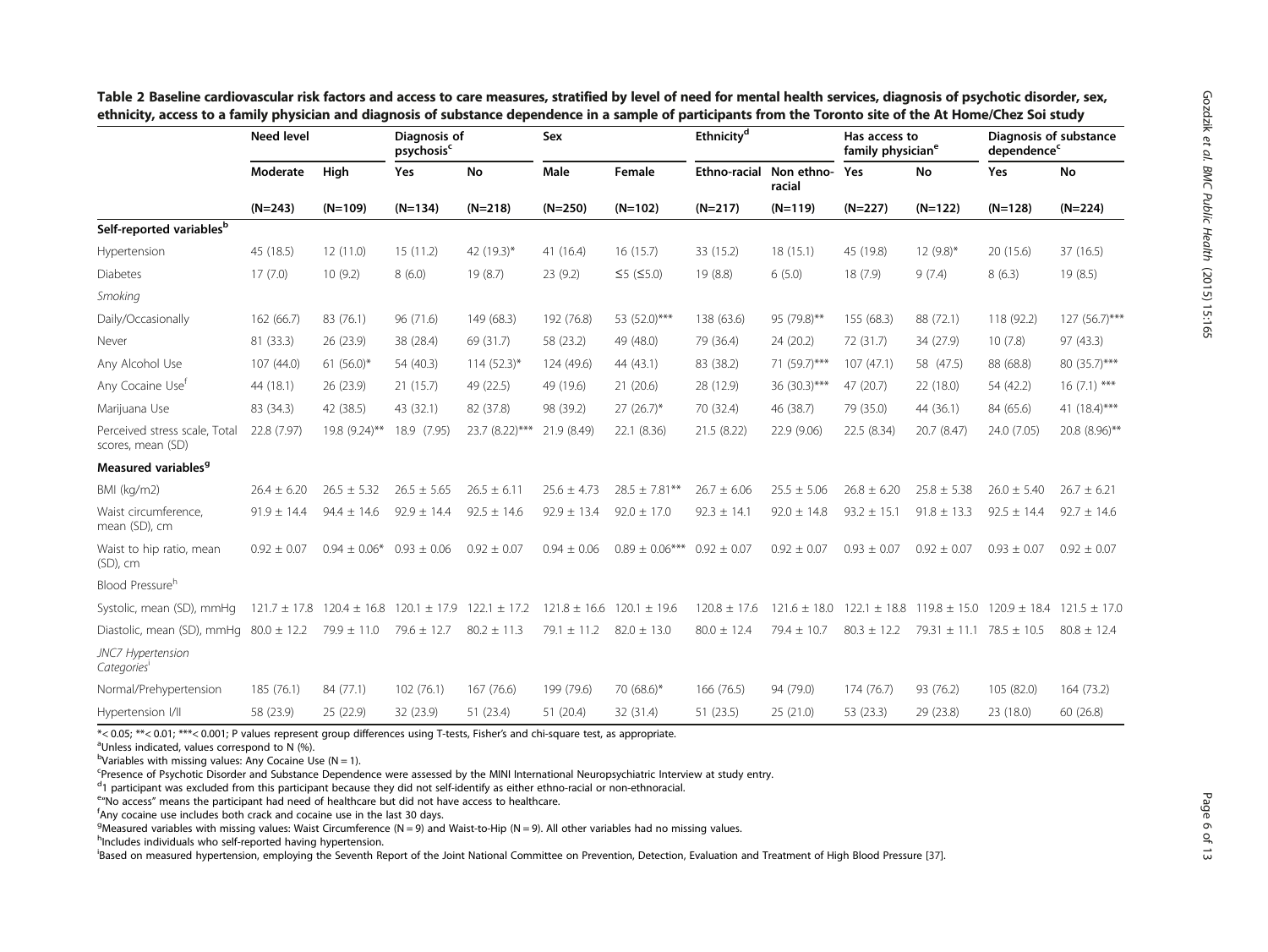|                                                                            | <b>Need level</b> |                                                    | Diagnosis of<br>psychosis <sup>c</sup> |                  | Sex              |                    | <b>Ethnicity<sup>d</sup></b> |                      | Has access to<br>family physician <sup>e</sup> |                                  | Diagnosis of substance<br>dependence <sup>c</sup> |                 |
|----------------------------------------------------------------------------|-------------------|----------------------------------------------------|----------------------------------------|------------------|------------------|--------------------|------------------------------|----------------------|------------------------------------------------|----------------------------------|---------------------------------------------------|-----------------|
|                                                                            | Moderate          | High                                               | Yes                                    | <b>No</b>        | Male             | Female             | Ethno-racial                 | Non ethno-<br>racial | Yes                                            | No                               | Yes                                               | <b>No</b>       |
|                                                                            | $(N=243)$         | $(N=109)$                                          | $(N=134)$                              | $(N=218)$        | $(N=250)$        | $(N=102)$          | $(N=217)$                    | $(N=119)$            | $(N=227)$                                      | $(N=122)$                        | $(N=128)$                                         | $(N=224)$       |
| Self-reported variables <sup>b</sup>                                       |                   |                                                    |                                        |                  |                  |                    |                              |                      |                                                |                                  |                                                   |                 |
| Hypertension                                                               | 45 (18.5)         | 12(11.0)                                           | 15(11.2)                               | 42 (19.3)*       | 41 (16.4)        | 16(15.7)           | 33 (15.2)                    | 18(15.1)             | 45 (19.8)                                      | $12(9.8)$ *                      | 20(15.6)                                          | 37 (16.5)       |
| Diabetes                                                                   | 17(7.0)           | 10(9.2)                                            | 8(6.0)                                 | 19(8.7)          | 23(9.2)          | $≤5$ (≤5.0)        | 19 (8.8)                     | 6(5.0)               | 18 (7.9)                                       | 9(7.4)                           | 8(6.3)                                            | 19(8.5)         |
| Smoking                                                                    |                   |                                                    |                                        |                  |                  |                    |                              |                      |                                                |                                  |                                                   |                 |
| Daily/Occasionally                                                         | 162 (66.7)        | 83 (76.1)                                          | 96 (71.6)                              | 149 (68.3)       | 192 (76.8)       | 53 (52.0)***       | 138 (63.6)                   | 95 (79.8)**          | 155 (68.3)                                     | 88 (72.1)                        | 118 (92.2)                                        | 127 (56.7)***   |
| Never                                                                      | 81 (33.3)         | 26 (23.9)                                          | 38 (28.4)                              | 69 (31.7)        | 58 (23.2)        | 49 (48.0)          | 79 (36.4)                    | 24 (20.2)            | 72 (31.7)                                      | 34 (27.9)                        | 10(7.8)                                           | 97 (43.3)       |
| Any Alcohol Use                                                            | 107 (44.0)        | $61 (56.0)^*$                                      | 54 (40.3)                              | $114(52.3)^{*}$  | 124 (49.6)       | 44 (43.1)          | 83 (38.2)                    | 71 (59.7)***         | 107(47.1)                                      | 58 (47.5)                        | 88 (68.8)                                         | 80 (35.7)***    |
| Any Cocaine Use <sup>r</sup>                                               | 44 (18.1)         | 26 (23.9)                                          | 21(15.7)                               | 49 (22.5)        | 49 (19.6)        | 21(20.6)           | 28 (12.9)                    | 36 (30.3)***         | 47 (20.7)                                      | 22 (18.0)                        | 54 (42.2)                                         | $16(7.1)$ ***   |
| Marijuana Use                                                              | 83 (34.3)         | 42 (38.5)                                          | 43 (32.1)                              | 82 (37.8)        | 98 (39.2)        | $27(26.7)^*$       | 70 (32.4)                    | 46 (38.7)            | 79 (35.0)                                      | 44 (36.1)                        | 84 (65.6)                                         | 41 $(18.4)$ *** |
| Perceived stress scale, Total<br>scores, mean (SD)                         | 22.8 (7.97)       | 19.8 (9.24)**                                      | 18.9 (7.95)                            | 23.7 (8.22)***   | 21.9 (8.49)      | 22.1 (8.36)        | 21.5 (8.22)                  | 22.9 (9.06)          | 22.5 (8.34)                                    | 20.7 (8.47)                      | 24.0 (7.05)                                       | 20.8 (8.96)**   |
| Measured variables <sup>9</sup>                                            |                   |                                                    |                                        |                  |                  |                    |                              |                      |                                                |                                  |                                                   |                 |
| BMI (kg/m2)                                                                | $26.4 \pm 6.20$   | $26.5 \pm 5.32$                                    | $26.5 \pm 5.65$                        | $26.5 \pm 6.11$  | $25.6 \pm 4.73$  | $28.5 \pm 7.81***$ | $26.7 \pm 6.06$              | $25.5 \pm 5.06$      | $26.8 \pm 6.20$                                | $25.8 \pm 5.38$                  | $26.0 \pm 5.40$                                   | $26.7 \pm 6.21$ |
| Waist circumference,<br>mean (SD), cm                                      | $91.9 \pm 14.4$   | $94.4 \pm 14.6$                                    | $92.9 \pm 14.4$                        | $92.5 \pm 14.6$  | $92.9 \pm 13.4$  | $92.0 \pm 17.0$    | $92.3 \pm 14.1$              | $92.0 \pm 14.8$      | $93.2 \pm 15.1$                                | $91.8 \pm 13.3$                  | $92.5 \pm 14.4$                                   | $92.7 \pm 14.6$ |
| Waist to hip ratio, mean<br>(SD), cm                                       | $0.92 \pm 0.07$   | $0.94 \pm 0.06*$                                   | $0.93 \pm 0.06$                        | $0.92 \pm 0.07$  | $0.94 \pm 0.06$  | $0.89 \pm 0.06***$ | $0.92 \pm 0.07$              | $0.92 \pm 0.07$      | $0.93 \pm 0.07$                                | $0.92 \pm 0.07$                  | $0.93 \pm 0.07$                                   | $0.92 \pm 0.07$ |
| Blood Pressure <sup>h</sup>                                                |                   |                                                    |                                        |                  |                  |                    |                              |                      |                                                |                                  |                                                   |                 |
| Systolic, mean (SD), mmHg                                                  |                   | $121.7 \pm 17.8$ 120.4 $\pm$ 16.8 120.1 $\pm$ 17.9 |                                        | $122.1 \pm 17.2$ | $121.8 \pm 16.6$ | $120.1 \pm 19.6$   | $120.8 \pm 17.6$             | $121.6 + 18.0$       | $122.1 \pm 18.8$                               | $119.8 \pm 15.0$                 | $120.9 + 18.4$                                    | $121.5 + 17.0$  |
| Diastolic, mean (SD), mmHg $80.0 \pm 12.2$ 79.9 $\pm$ 11.0 79.6 $\pm$ 12.7 |                   |                                                    |                                        | $80.2 \pm 11.3$  | $79.1 \pm 11.2$  | $82.0 \pm 13.0$    | $80.0 \pm 12.4$              | $79.4 \pm 10.7$      | $80.3 \pm 12.2$                                | $79.31 \pm 11.1$ 78.5 $\pm$ 10.5 |                                                   | $80.8 \pm 12.4$ |
| JNC7 Hypertension<br>Categories <sup>1</sup>                               |                   |                                                    |                                        |                  |                  |                    |                              |                      |                                                |                                  |                                                   |                 |
| Normal/Prehypertension                                                     | 185 (76.1)        | 84 (77.1)                                          | 102(76.1)                              | 167 (76.6)       | 199 (79.6)       | 70 (68.6)*         | 166 (76.5)                   | 94 (79.0)            | 174 (76.7)                                     | 93 (76.2)                        | 105 (82.0)                                        | 164 (73.2)      |
| Hypertension I/II                                                          | 58 (23.9)         | 25 (22.9)                                          | 32 (23.9)                              | 51 (23.4)        | 51 (20.4)        | 32 (31.4)          | 51(23.5)                     | 25(21.0)             | 53 (23.3)                                      | 29 (23.8)                        | 23 (18.0)                                         | 60(26.8)        |

<span id="page-5-0"></span>Table 2 Baseline cardiovascular risk factors and access to care measures, stratified by level of need for mental health services, diagnosis of psychotic disorder, sex, ethnicity, access to a family physician and diagnosis of substance dependence in a sample of participants from the Toronto site of the At Home/Chez Soi study

\*< 0.05; \*\*< 0.01; \*\*\*< 0.001; P values represent group differences using T-tests, Fisher's and chi-square test, as appropriate. <sup>a</sup>

<sup>a</sup>Unless indicated, values correspond to N (%).

 $b$ Variables with missing values: Any Cocaine Use (N = 1).

c Presence of Psychotic Disorder and Substance Dependence were assessed by the MINI International Neuropsychiatric Interview at study entry.

<sup>d</sup>1 participant was excluded from this participant because they did not self-identify as either ethno-racial or non-ethnoracial.

<sup>e</sup> No access" means the participant had need of healthcare but did not have access to healthcare.<br><sup>f</sup>Any cosaine use includes both crack and cosaine use in the last 30 days.

<sup>f</sup> Any cocaine use includes both crack and cocaine use in the last 30 days.

<sup>g</sup>Measured variables with missing values: Waist Circumference (N = 9) and Waist-to-Hip (N = 9). All other variables had no missing values.

hIncludes individuals who self-reported having hypertension.

i Based on measured hypertension, employing the Seventh Report of the Joint National Committee on Prevention, Detection, Evaluation and Treatment of High Blood Pressure [\[37\]](#page-11-0).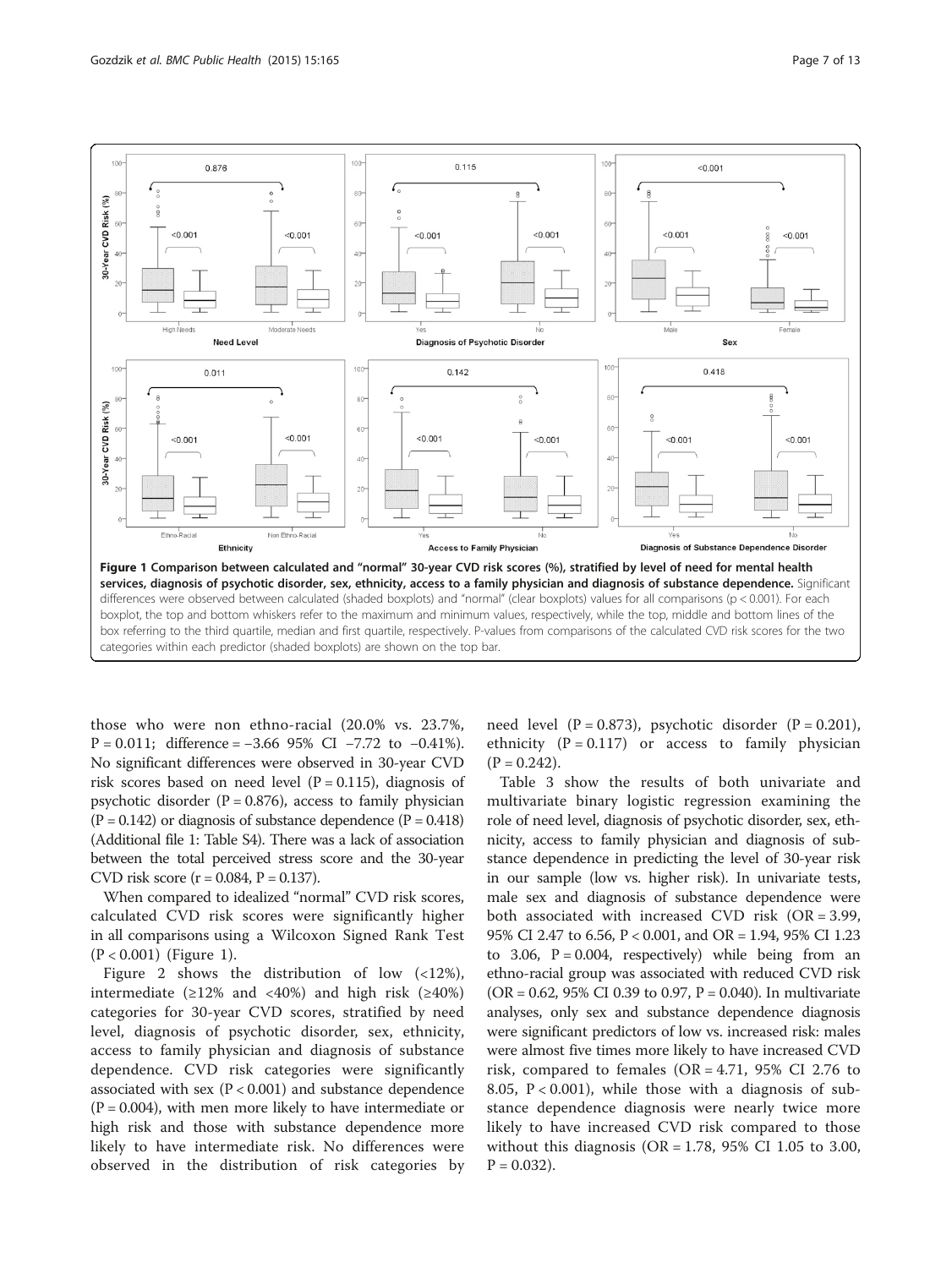<span id="page-6-0"></span>

those who were non ethno-racial (20.0% vs. 23.7%, P = 0.011; difference =  $-3.66$  95% CI  $-7.72$  to  $-0.41$ %). No significant differences were observed in 30-year CVD risk scores based on need level  $(P = 0.115)$ , diagnosis of psychotic disorder ( $P = 0.876$ ), access to family physician  $(P = 0.142)$  or diagnosis of substance dependence  $(P = 0.418)$ (Additional file [1:](#page-10-0) Table S4). There was a lack of association between the total perceived stress score and the 30-year CVD risk score ( $r = 0.084$ ,  $P = 0.137$ ).

When compared to idealized "normal" CVD risk scores, calculated CVD risk scores were significantly higher in all comparisons using a Wilcoxon Signed Rank Test  $(P < 0.001)$  (Figure 1).

Figure [2](#page-7-0) shows the distribution of low  $(12\%)$ , intermediate ( $\geq$ 12% and  $\lt$ 40%) and high risk ( $\geq$ 40%) categories for 30-year CVD scores, stratified by need level, diagnosis of psychotic disorder, sex, ethnicity, access to family physician and diagnosis of substance dependence. CVD risk categories were significantly associated with sex  $(P < 0.001)$  and substance dependence  $(P = 0.004)$ , with men more likely to have intermediate or high risk and those with substance dependence more likely to have intermediate risk. No differences were observed in the distribution of risk categories by need level  $(P = 0.873)$ , psychotic disorder  $(P = 0.201)$ , ethnicity  $(P = 0.117)$  or access to family physician  $(P = 0.242)$ .

Table [3](#page-8-0) show the results of both univariate and multivariate binary logistic regression examining the role of need level, diagnosis of psychotic disorder, sex, ethnicity, access to family physician and diagnosis of substance dependence in predicting the level of 30-year risk in our sample (low vs. higher risk). In univariate tests, male sex and diagnosis of substance dependence were both associated with increased CVD risk (OR = 3.99, 95% CI 2.47 to 6.56, P < 0.001, and OR = 1.94, 95% CI 1.23 to 3.06,  $P = 0.004$ , respectively) while being from an ethno-racial group was associated with reduced CVD risk  $(OR = 0.62, 95\% \text{ CI } 0.39 \text{ to } 0.97, P = 0.040)$ . In multivariate analyses, only sex and substance dependence diagnosis were significant predictors of low vs. increased risk: males were almost five times more likely to have increased CVD risk, compared to females (OR =  $4.71$ , 95% CI 2.76 to 8.05,  $P < 0.001$ ), while those with a diagnosis of substance dependence diagnosis were nearly twice more likely to have increased CVD risk compared to those without this diagnosis ( $OR = 1.78$ , 95% CI 1.05 to 3.00,  $P = 0.032$ ).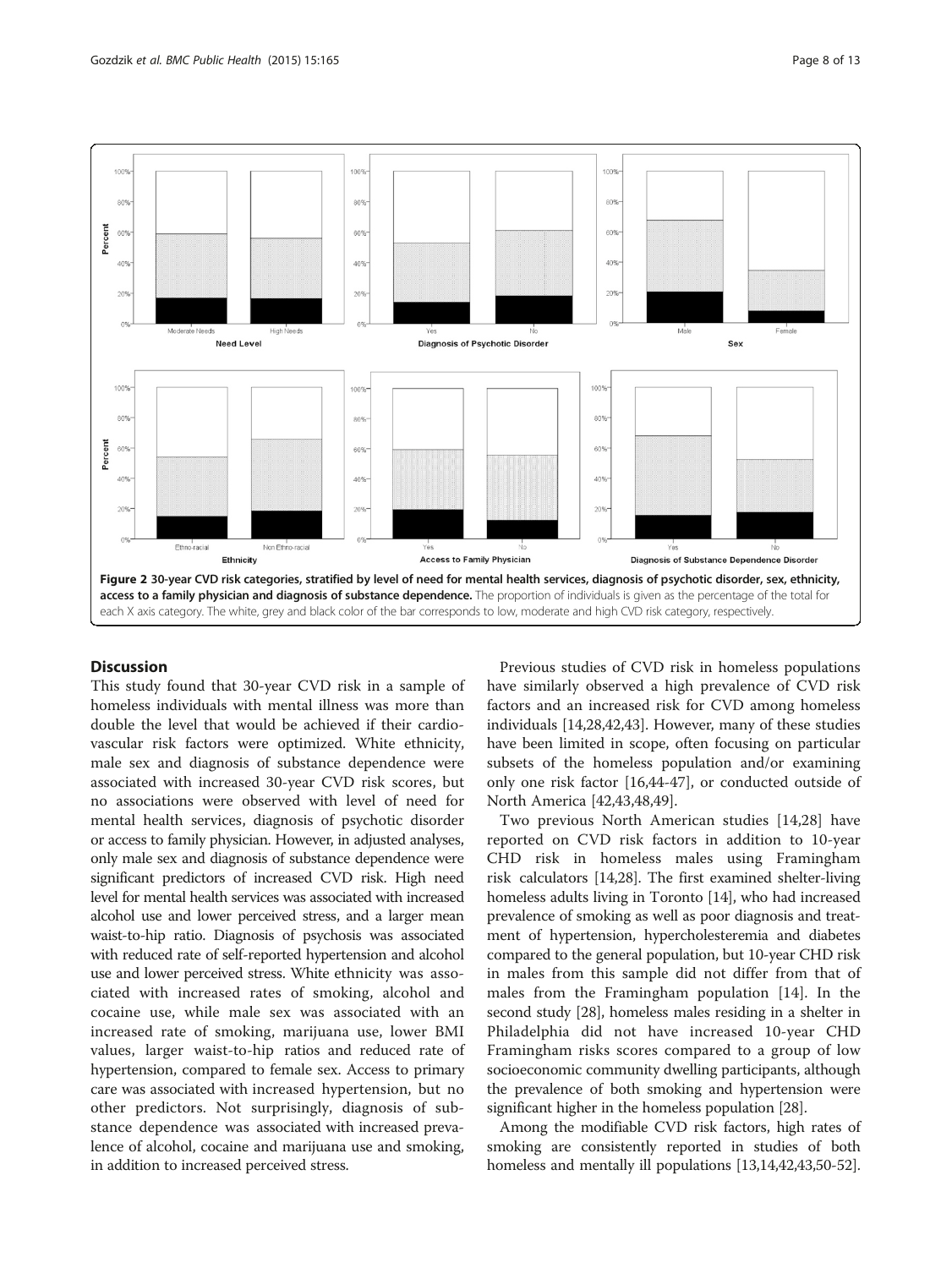<span id="page-7-0"></span>

#### **Discussion**

This study found that 30-year CVD risk in a sample of homeless individuals with mental illness was more than double the level that would be achieved if their cardiovascular risk factors were optimized. White ethnicity, male sex and diagnosis of substance dependence were associated with increased 30-year CVD risk scores, but no associations were observed with level of need for mental health services, diagnosis of psychotic disorder or access to family physician. However, in adjusted analyses, only male sex and diagnosis of substance dependence were significant predictors of increased CVD risk. High need level for mental health services was associated with increased alcohol use and lower perceived stress, and a larger mean waist-to-hip ratio. Diagnosis of psychosis was associated with reduced rate of self-reported hypertension and alcohol use and lower perceived stress. White ethnicity was associated with increased rates of smoking, alcohol and cocaine use, while male sex was associated with an increased rate of smoking, marijuana use, lower BMI values, larger waist-to-hip ratios and reduced rate of hypertension, compared to female sex. Access to primary care was associated with increased hypertension, but no other predictors. Not surprisingly, diagnosis of substance dependence was associated with increased prevalence of alcohol, cocaine and marijuana use and smoking, in addition to increased perceived stress.

Previous studies of CVD risk in homeless populations have similarly observed a high prevalence of CVD risk factors and an increased risk for CVD among homeless individuals [[14,](#page-10-0)[28,42,43\]](#page-11-0). However, many of these studies have been limited in scope, often focusing on particular subsets of the homeless population and/or examining only one risk factor [[16,](#page-10-0)[44-47](#page-11-0)], or conducted outside of North America [\[42,43,48,49\]](#page-11-0).

Two previous North American studies [\[14](#page-10-0),[28\]](#page-11-0) have reported on CVD risk factors in addition to 10-year CHD risk in homeless males using Framingham risk calculators [[14](#page-10-0),[28](#page-11-0)]. The first examined shelter-living homeless adults living in Toronto [\[14\]](#page-10-0), who had increased prevalence of smoking as well as poor diagnosis and treatment of hypertension, hypercholesteremia and diabetes compared to the general population, but 10-year CHD risk in males from this sample did not differ from that of males from the Framingham population [\[14](#page-10-0)]. In the second study [[28](#page-11-0)], homeless males residing in a shelter in Philadelphia did not have increased 10-year CHD Framingham risks scores compared to a group of low socioeconomic community dwelling participants, although the prevalence of both smoking and hypertension were significant higher in the homeless population [\[28\]](#page-11-0).

Among the modifiable CVD risk factors, high rates of smoking are consistently reported in studies of both homeless and mentally ill populations [[13,14](#page-10-0)[,42,43,50](#page-11-0)-[52](#page-11-0)].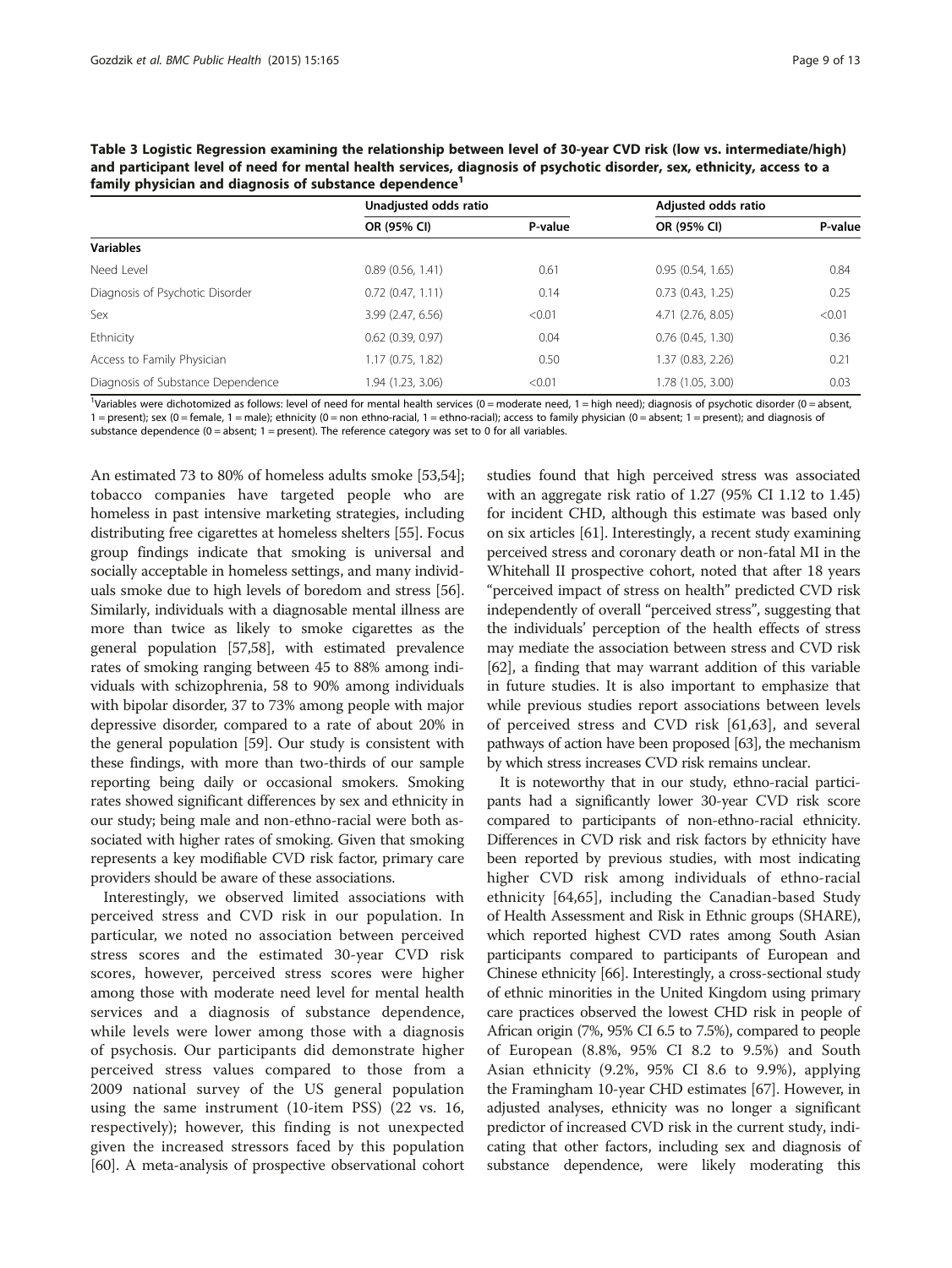| TWITHTY PHYSICIAN WITH MINGHOUS OF SUMSTANTED MOPENTUCLED |                       |         |                       |         |  |  |  |  |  |  |
|-----------------------------------------------------------|-----------------------|---------|-----------------------|---------|--|--|--|--|--|--|
|                                                           | Unadjusted odds ratio |         | Adjusted odds ratio   |         |  |  |  |  |  |  |
|                                                           | OR (95% CI)           | P-value | OR (95% CI)           | P-value |  |  |  |  |  |  |
| <b>Variables</b>                                          |                       |         |                       |         |  |  |  |  |  |  |
| Need Level                                                | 0.89(0.56, 1.41)      | 0.61    | 0.95(0.54, 1.65)      | 0.84    |  |  |  |  |  |  |
| Diagnosis of Psychotic Disorder                           | 0.72(0.47, 1.11)      | 0.14    | 0.73(0.43, 1.25)      | 0.25    |  |  |  |  |  |  |
| Sex                                                       | 3.99 (2.47, 6.56)     | < 0.01  | 4.71 (2.76, 8.05)     | < 0.01  |  |  |  |  |  |  |
| Ethnicity                                                 | $0.62$ $(0.39, 0.97)$ | 0.04    | $0.76$ $(0.45, 1.30)$ | 0.36    |  |  |  |  |  |  |
| Access to Family Physician                                | 1.17(0.75, 1.82)      | 0.50    | 1.37 (0.83, 2.26)     | 0.21    |  |  |  |  |  |  |
| Diagnosis of Substance Dependence                         | 1.94 (1.23, 3.06)     | < 0.01  | 1.78 (1.05, 3.00)     | 0.03    |  |  |  |  |  |  |

<span id="page-8-0"></span>Table 3 Logistic Regression examining the relationship between level of 30-year CVD risk (low vs. intermediate/high) and participant level of need for mental health services, diagnosis of psychotic disorder, sex, ethnicity, access to a family physician and diagnosis of substance dependence<sup>1</sup>

<sup>1</sup>Variables were dichotomized as follows: level of need for mental health services (0 = moderate need, 1 = high need); diagnosis of psychotic disorder (0 = absent, 1 = present); sex (0 = female, 1 = male); ethnicity (0 = non ethno-racial, 1 = ethno-racial); access to family physician (0 = absent; 1 = present); and diagnosis of substance dependence  $(0 = \text{absent}; 1 = \text{present})$ . The reference category was set to 0 for all variables.

An estimated 73 to 80% of homeless adults smoke [\[53,54](#page-11-0)]; tobacco companies have targeted people who are homeless in past intensive marketing strategies, including distributing free cigarettes at homeless shelters [[55](#page-11-0)]. Focus group findings indicate that smoking is universal and socially acceptable in homeless settings, and many individuals smoke due to high levels of boredom and stress [[56](#page-11-0)]. Similarly, individuals with a diagnosable mental illness are more than twice as likely to smoke cigarettes as the general population [\[57,58\]](#page-11-0), with estimated prevalence rates of smoking ranging between 45 to 88% among individuals with schizophrenia, 58 to 90% among individuals with bipolar disorder, 37 to 73% among people with major depressive disorder, compared to a rate of about 20% in the general population [[59](#page-11-0)]. Our study is consistent with these findings, with more than two-thirds of our sample reporting being daily or occasional smokers. Smoking rates showed significant differences by sex and ethnicity in our study; being male and non-ethno-racial were both associated with higher rates of smoking. Given that smoking represents a key modifiable CVD risk factor, primary care providers should be aware of these associations.

Interestingly, we observed limited associations with perceived stress and CVD risk in our population. In particular, we noted no association between perceived stress scores and the estimated 30-year CVD risk scores, however, perceived stress scores were higher among those with moderate need level for mental health services and a diagnosis of substance dependence, while levels were lower among those with a diagnosis of psychosis. Our participants did demonstrate higher perceived stress values compared to those from a 2009 national survey of the US general population using the same instrument (10-item PSS) (22 vs. 16, respectively); however, this finding is not unexpected given the increased stressors faced by this population [[60](#page-11-0)]. A meta-analysis of prospective observational cohort

studies found that high perceived stress was associated with an aggregate risk ratio of 1.27 (95% CI 1.12 to 1.45) for incident CHD, although this estimate was based only on six articles [[61](#page-11-0)]. Interestingly, a recent study examining perceived stress and coronary death or non-fatal MI in the Whitehall II prospective cohort, noted that after 18 years "perceived impact of stress on health" predicted CVD risk independently of overall "perceived stress", suggesting that the individuals' perception of the health effects of stress may mediate the association between stress and CVD risk [[62](#page-11-0)], a finding that may warrant addition of this variable in future studies. It is also important to emphasize that while previous studies report associations between levels of perceived stress and CVD risk [[61,63](#page-11-0)], and several pathways of action have been proposed [\[63](#page-11-0)], the mechanism by which stress increases CVD risk remains unclear.

It is noteworthy that in our study, ethno-racial participants had a significantly lower 30-year CVD risk score compared to participants of non-ethno-racial ethnicity. Differences in CVD risk and risk factors by ethnicity have been reported by previous studies, with most indicating higher CVD risk among individuals of ethno-racial ethnicity [\[64,65](#page-11-0)], including the Canadian-based Study of Health Assessment and Risk in Ethnic groups (SHARE), which reported highest CVD rates among South Asian participants compared to participants of European and Chinese ethnicity [[66](#page-11-0)]. Interestingly, a cross-sectional study of ethnic minorities in the United Kingdom using primary care practices observed the lowest CHD risk in people of African origin (7%, 95% CI 6.5 to 7.5%), compared to people of European (8.8%, 95% CI 8.2 to 9.5%) and South Asian ethnicity (9.2%, 95% CI 8.6 to 9.9%), applying the Framingham 10-year CHD estimates [\[67\]](#page-11-0). However, in adjusted analyses, ethnicity was no longer a significant predictor of increased CVD risk in the current study, indicating that other factors, including sex and diagnosis of substance dependence, were likely moderating this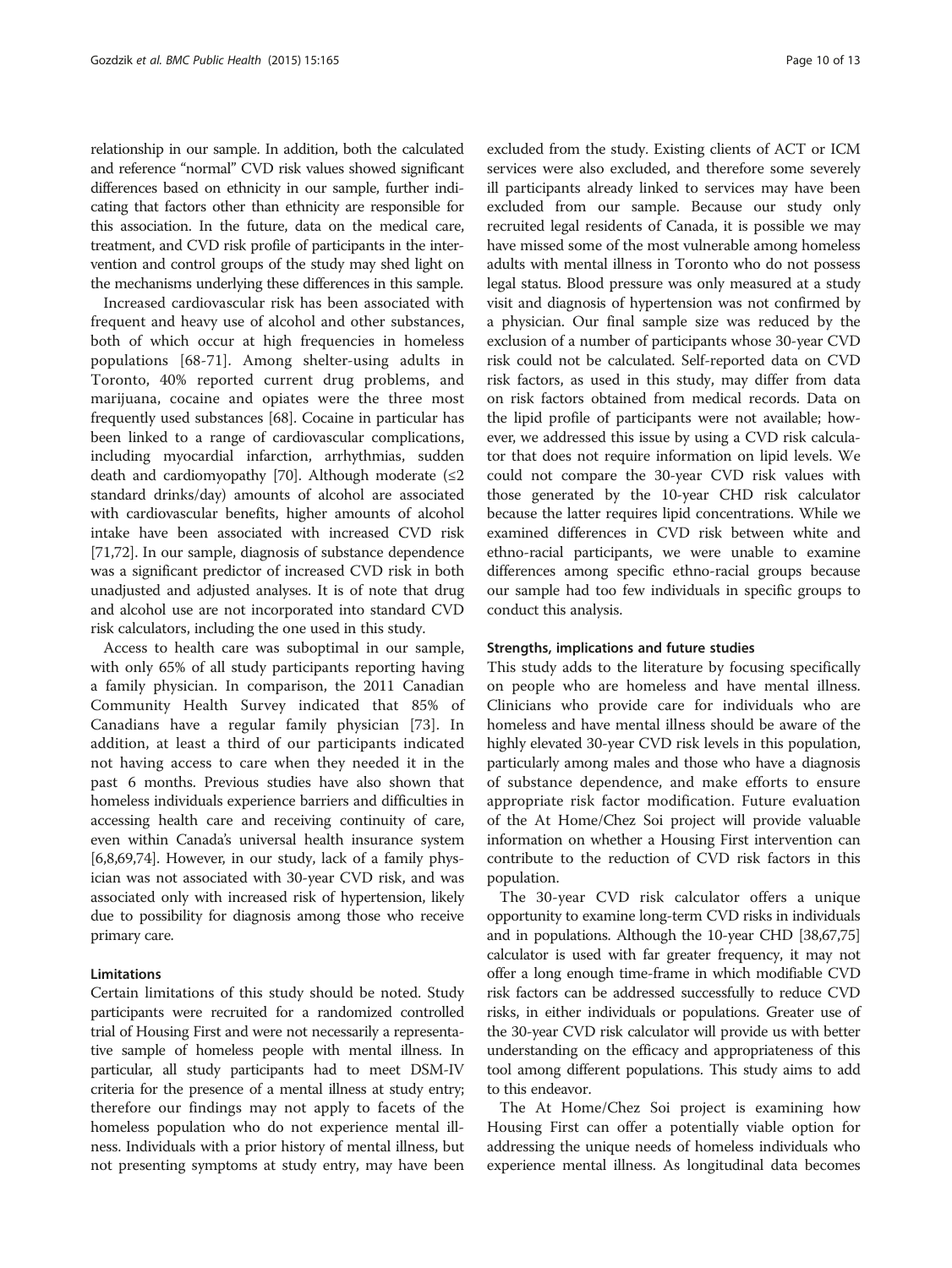relationship in our sample. In addition, both the calculated and reference "normal" CVD risk values showed significant differences based on ethnicity in our sample, further indicating that factors other than ethnicity are responsible for this association. In the future, data on the medical care, treatment, and CVD risk profile of participants in the intervention and control groups of the study may shed light on the mechanisms underlying these differences in this sample.

Increased cardiovascular risk has been associated with frequent and heavy use of alcohol and other substances, both of which occur at high frequencies in homeless populations [[68-71](#page-11-0)]. Among shelter-using adults in Toronto, 40% reported current drug problems, and marijuana, cocaine and opiates were the three most frequently used substances [\[68\]](#page-11-0). Cocaine in particular has been linked to a range of cardiovascular complications, including myocardial infarction, arrhythmias, sudden death and cardiomyopathy [[70\]](#page-11-0). Although moderate  $(\leq 2)$ standard drinks/day) amounts of alcohol are associated with cardiovascular benefits, higher amounts of alcohol intake have been associated with increased CVD risk [[71,72](#page-11-0)]. In our sample, diagnosis of substance dependence was a significant predictor of increased CVD risk in both unadjusted and adjusted analyses. It is of note that drug and alcohol use are not incorporated into standard CVD risk calculators, including the one used in this study.

Access to health care was suboptimal in our sample, with only 65% of all study participants reporting having a family physician. In comparison, the 2011 Canadian Community Health Survey indicated that 85% of Canadians have a regular family physician [[73\]](#page-12-0). In addition, at least a third of our participants indicated not having access to care when they needed it in the past 6 months. Previous studies have also shown that homeless individuals experience barriers and difficulties in accessing health care and receiving continuity of care, even within Canada's universal health insurance system [[6,8](#page-10-0),[69](#page-11-0)[,74\]](#page-12-0). However, in our study, lack of a family physician was not associated with 30-year CVD risk, and was associated only with increased risk of hypertension, likely due to possibility for diagnosis among those who receive primary care.

#### Limitations

Certain limitations of this study should be noted. Study participants were recruited for a randomized controlled trial of Housing First and were not necessarily a representative sample of homeless people with mental illness. In particular, all study participants had to meet DSM-IV criteria for the presence of a mental illness at study entry; therefore our findings may not apply to facets of the homeless population who do not experience mental illness. Individuals with a prior history of mental illness, but not presenting symptoms at study entry, may have been

excluded from the study. Existing clients of ACT or ICM services were also excluded, and therefore some severely ill participants already linked to services may have been excluded from our sample. Because our study only recruited legal residents of Canada, it is possible we may have missed some of the most vulnerable among homeless adults with mental illness in Toronto who do not possess legal status. Blood pressure was only measured at a study visit and diagnosis of hypertension was not confirmed by a physician. Our final sample size was reduced by the exclusion of a number of participants whose 30-year CVD risk could not be calculated. Self-reported data on CVD risk factors, as used in this study, may differ from data on risk factors obtained from medical records. Data on the lipid profile of participants were not available; however, we addressed this issue by using a CVD risk calculator that does not require information on lipid levels. We could not compare the 30-year CVD risk values with those generated by the 10-year CHD risk calculator because the latter requires lipid concentrations. While we examined differences in CVD risk between white and ethno-racial participants, we were unable to examine differences among specific ethno-racial groups because our sample had too few individuals in specific groups to conduct this analysis.

#### Strengths, implications and future studies

This study adds to the literature by focusing specifically on people who are homeless and have mental illness. Clinicians who provide care for individuals who are homeless and have mental illness should be aware of the highly elevated 30-year CVD risk levels in this population, particularly among males and those who have a diagnosis of substance dependence, and make efforts to ensure appropriate risk factor modification. Future evaluation of the At Home/Chez Soi project will provide valuable information on whether a Housing First intervention can contribute to the reduction of CVD risk factors in this population.

The 30-year CVD risk calculator offers a unique opportunity to examine long-term CVD risks in individuals and in populations. Although the 10-year CHD [\[38,67,](#page-11-0)[75](#page-12-0)] calculator is used with far greater frequency, it may not offer a long enough time-frame in which modifiable CVD risk factors can be addressed successfully to reduce CVD risks, in either individuals or populations. Greater use of the 30-year CVD risk calculator will provide us with better understanding on the efficacy and appropriateness of this tool among different populations. This study aims to add to this endeavor.

The At Home/Chez Soi project is examining how Housing First can offer a potentially viable option for addressing the unique needs of homeless individuals who experience mental illness. As longitudinal data becomes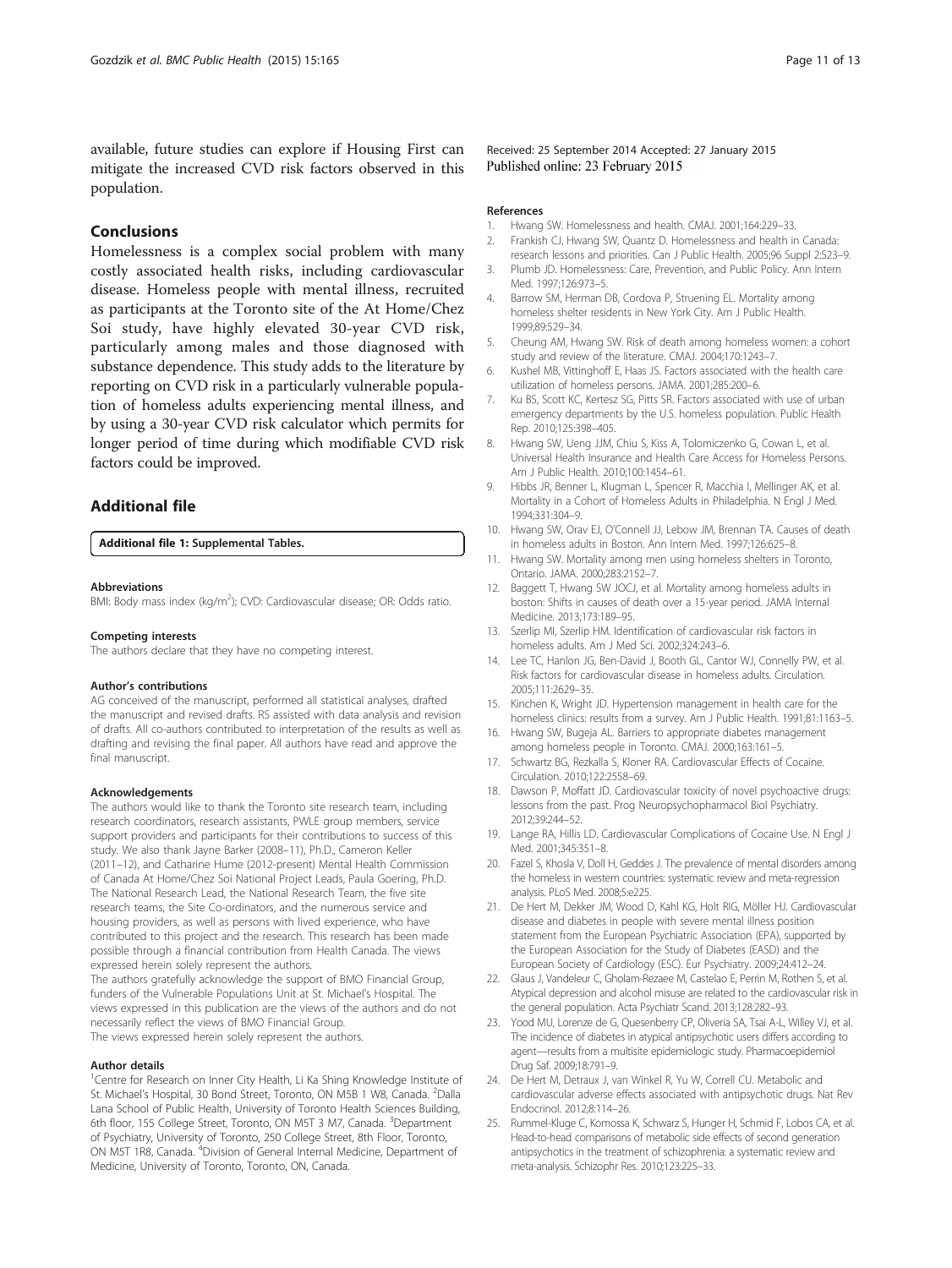<span id="page-10-0"></span>available, future studies can explore if Housing First can mitigate the increased CVD risk factors observed in this population.

# Conclusions

Homelessness is a complex social problem with many costly associated health risks, including cardiovascular disease. Homeless people with mental illness, recruited as participants at the Toronto site of the At Home/Chez Soi study, have highly elevated 30-year CVD risk, particularly among males and those diagnosed with substance dependence. This study adds to the literature by reporting on CVD risk in a particularly vulnerable population of homeless adults experiencing mental illness, and by using a 30-year CVD risk calculator which permits for longer period of time during which modifiable CVD risk factors could be improved.

# Additional file

[Additional file 1:](http://www.biomedcentral.com/content/supplementary/s12889-015-1472-4-s1.docx) Supplemental Tables.

#### Abbreviations

BMI: Body mass index (kg/m<sup>2</sup>); CVD: Cardiovascular disease; OR: Odds ratio.

#### Competing interests

The authors declare that they have no competing interest.

#### Author's contributions

AG conceived of the manuscript, performed all statistical analyses, drafted the manuscript and revised drafts. RS assisted with data analysis and revision of drafts. All co-authors contributed to interpretation of the results as well as drafting and revising the final paper. All authors have read and approve the final manuscript.

#### Acknowledgements

The authors would like to thank the Toronto site research team, including research coordinators, research assistants, PWLE group members, service support providers and participants for their contributions to success of this study. We also thank Jayne Barker (2008–11), Ph.D., Cameron Keller (2011–12), and Catharine Hume (2012-present) Mental Health Commission of Canada At Home/Chez Soi National Project Leads, Paula Goering, Ph.D. The National Research Lead, the National Research Team, the five site research teams, the Site Co-ordinators, and the numerous service and housing providers, as well as persons with lived experience, who have contributed to this project and the research. This research has been made possible through a financial contribution from Health Canada. The views expressed herein solely represent the authors.

The authors gratefully acknowledge the support of BMO Financial Group, funders of the Vulnerable Populations Unit at St. Michael's Hospital. The views expressed in this publication are the views of the authors and do not necessarily reflect the views of BMO Financial Group. The views expressed herein solely represent the authors.

#### Author details

<sup>1</sup>Centre for Research on Inner City Health, Li Ka Shing Knowledge Institute of St. Michael's Hospital, 30 Bond Street, Toronto, ON M5B 1 W8, Canada. <sup>2</sup>Dalla Lana School of Public Health, University of Toronto Health Sciences Building, 6th floor, 155 College Street, Toronto, ON M5T 3 M7, Canada. <sup>3</sup>Department of Psychiatry, University of Toronto, 250 College Street, 8th Floor, Toronto, ON M5T 1R8, Canada. <sup>4</sup> Division of General Internal Medicine, Department of Medicine, University of Toronto, Toronto, ON, Canada.

Received: 25 September 2014 Accepted: 27 January 2015 Published online: 23 February 2015

#### References

- 1. Hwang SW. Homelessness and health. CMAJ. 2001;164:229–33.
- 2. Frankish CJ, Hwang SW, Quantz D. Homelessness and health in Canada: research lessons and priorities. Can J Public Health. 2005;96 Suppl 2:S23–9.
- 3. Plumb JD. Homelessness: Care, Prevention, and Public Policy. Ann Intern Med. 1997;126:973–5.
- 4. Barrow SM, Herman DB, Cordova P, Struening EL. Mortality among homeless shelter residents in New York City. Am J Public Health. 1999;89:529–34.
- 5. Cheung AM, Hwang SW. Risk of death among homeless women: a cohort study and review of the literature. CMAJ. 2004;170:1243–7.
- 6. Kushel MB, Vittinghoff E, Haas JS. Factors associated with the health care utilization of homeless persons. JAMA. 2001;285:200–6.
- 7. Ku BS, Scott KC, Kertesz SG, Pitts SR. Factors associated with use of urban emergency departments by the U.S. homeless population. Public Health Rep. 2010;125:398–405.
- Hwang SW, Ueng JJM, Chiu S, Kiss A, Tolomiczenko G, Cowan L, et al. Universal Health Insurance and Health Care Access for Homeless Persons. Am J Public Health. 2010;100:1454–61.
- 9. Hibbs JR, Benner L, Klugman L, Spencer R, Macchia I, Mellinger AK, et al. Mortality in a Cohort of Homeless Adults in Philadelphia. N Engl J Med. 1994;331:304–9.
- 10. Hwang SW, Orav EJ, O'Connell JJ, Lebow JM, Brennan TA. Causes of death in homeless adults in Boston. Ann Intern Med. 1997;126:625–8.
- 11. Hwang SW. Mortality among men using homeless shelters in Toronto, Ontario. JAMA. 2000;283:2152–7.
- 12. Baggett T, Hwang SW JOCJ, et al. Mortality among homeless adults in boston: Shifts in causes of death over a 15-year period. JAMA Internal Medicine. 2013;173:189–95.
- 13. Szerlip MI, Szerlip HM. Identification of cardiovascular risk factors in homeless adults. Am J Med Sci. 2002;324:243–6.
- 14. Lee TC, Hanlon JG, Ben-David J, Booth GL, Cantor WJ, Connelly PW, et al. Risk factors for cardiovascular disease in homeless adults. Circulation. 2005;111:2629–35.
- 15. Kinchen K, Wright JD. Hypertension management in health care for the homeless clinics: results from a survey. Am J Public Health. 1991;81:1163-5.
- 16. Hwang SW, Bugeja AL. Barriers to appropriate diabetes management among homeless people in Toronto. CMAJ. 2000;163:161–5.
- 17. Schwartz BG, Rezkalla S, Kloner RA. Cardiovascular Effects of Cocaine. Circulation. 2010;122:2558–69.
- 18. Dawson P, Moffatt JD. Cardiovascular toxicity of novel psychoactive drugs: lessons from the past. Prog Neuropsychopharmacol Biol Psychiatry. 2012;39:244–52.
- 19. Lange RA, Hillis LD. Cardiovascular Complications of Cocaine Use. N Engl J Med. 2001;345:351–8.
- 20. Fazel S, Khosla V, Doll H, Geddes J. The prevalence of mental disorders among the homeless in western countries: systematic review and meta-regression analysis. PLoS Med. 2008;5:e225.
- 21. De Hert M, Dekker JM, Wood D, Kahl KG, Holt RIG, Möller HJ. Cardiovascular disease and diabetes in people with severe mental illness position statement from the European Psychiatric Association (EPA), supported by the European Association for the Study of Diabetes (EASD) and the European Society of Cardiology (ESC). Eur Psychiatry. 2009;24:412–24.
- 22. Glaus J, Vandeleur C, Gholam-Rezaee M, Castelao E, Perrin M, Rothen S, et al. Atypical depression and alcohol misuse are related to the cardiovascular risk in the general population. Acta Psychiatr Scand. 2013;128:282–93.
- Yood MU, Lorenze de G, Quesenberry CP, Oliveria SA, Tsai A-L, Willey VJ, et al. The incidence of diabetes in atypical antipsychotic users differs according to agent—results from a multisite epidemiologic study. Pharmacoepidemiol Drug Saf. 2009;18:791–9.
- 24. De Hert M, Detraux J, van Winkel R, Yu W, Correll CU. Metabolic and cardiovascular adverse effects associated with antipsychotic drugs. Nat Rev Endocrinol. 2012;8:114–26.
- 25. Rummel-Kluge C, Komossa K, Schwarz S, Hunger H, Schmid F, Lobos CA, et al. Head-to-head comparisons of metabolic side effects of second generation antipsychotics in the treatment of schizophrenia: a systematic review and meta-analysis. Schizophr Res. 2010;123:225–33.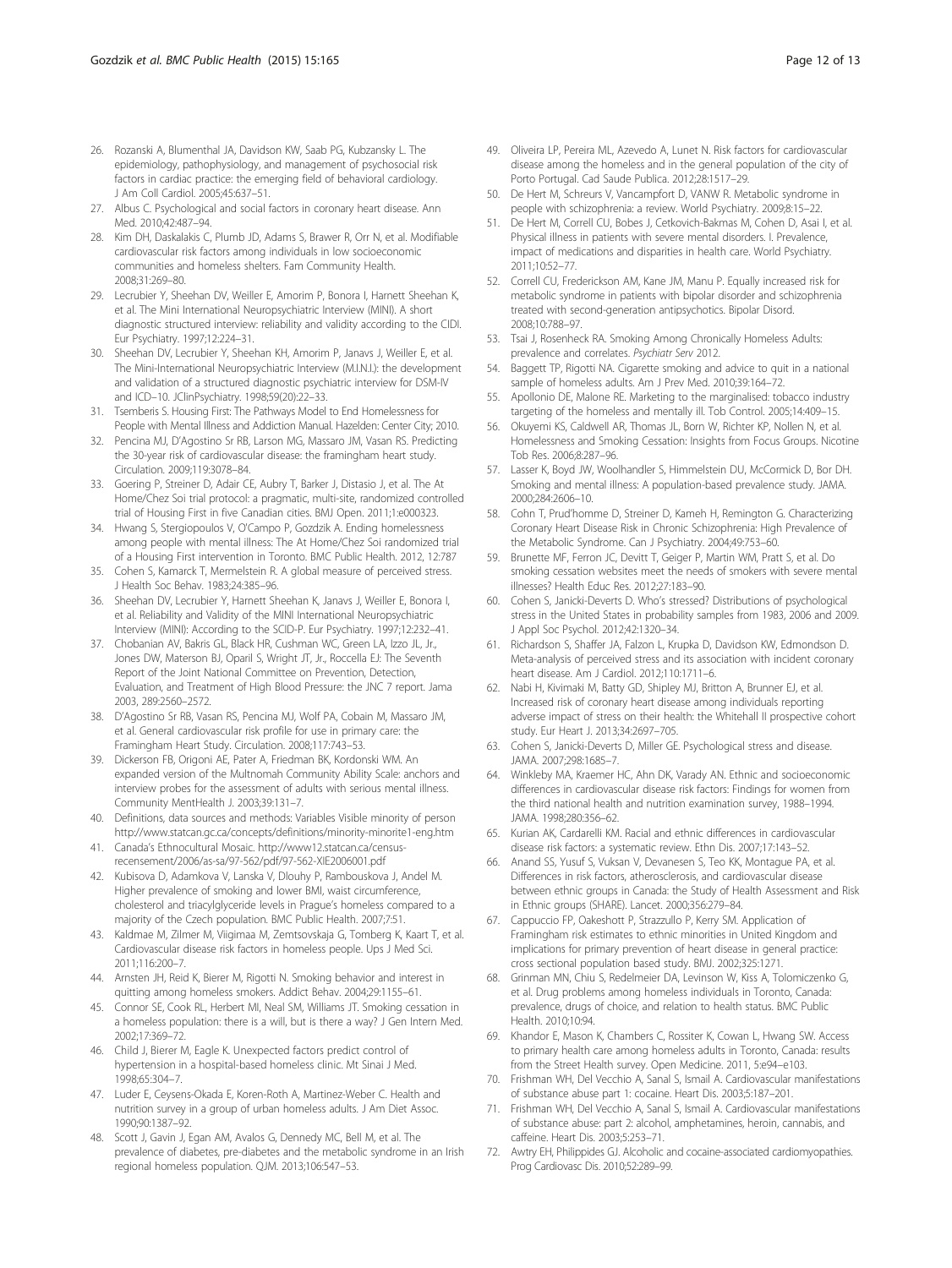- <span id="page-11-0"></span>26. Rozanski A, Blumenthal JA, Davidson KW, Saab PG, Kubzansky L. The epidemiology, pathophysiology, and management of psychosocial risk factors in cardiac practice: the emerging field of behavioral cardiology. J Am Coll Cardiol. 2005;45:637–51.
- 27. Albus C. Psychological and social factors in coronary heart disease. Ann Med. 2010;42:487–94.
- 28. Kim DH, Daskalakis C, Plumb JD, Adams S, Brawer R, Orr N, et al. Modifiable cardiovascular risk factors among individuals in low socioeconomic communities and homeless shelters. Fam Community Health. 2008;31:269–80.
- 29. Lecrubier Y, Sheehan DV, Weiller E, Amorim P, Bonora I, Harnett Sheehan K, et al. The Mini International Neuropsychiatric Interview (MINI). A short diagnostic structured interview: reliability and validity according to the CIDI. Eur Psychiatry. 1997;12:224–31.
- 30. Sheehan DV, Lecrubier Y, Sheehan KH, Amorim P, Janavs J, Weiller E, et al. The Mini-International Neuropsychiatric Interview (M.I.N.I.): the development and validation of a structured diagnostic psychiatric interview for DSM-IV and ICD–10. JClinPsychiatry. 1998;59(20):22–33.
- 31. Tsemberis S. Housing First: The Pathways Model to End Homelessness for People with Mental Illness and Addiction Manual. Hazelden: Center City; 2010.
- 32. Pencina MJ, D'Agostino Sr RB, Larson MG, Massaro JM, Vasan RS. Predicting the 30-year risk of cardiovascular disease: the framingham heart study. Circulation. 2009;119:3078–84.
- 33. Goering P, Streiner D, Adair CE, Aubry T, Barker J, Distasio J, et al. The At Home/Chez Soi trial protocol: a pragmatic, multi-site, randomized controlled trial of Housing First in five Canadian cities. BMJ Open. 2011;1:e000323.
- 34. Hwang S, Stergiopoulos V, O'Campo P, Gozdzik A. Ending homelessness among people with mental illness: The At Home/Chez Soi randomized trial of a Housing First intervention in Toronto. BMC Public Health. 2012, 12:787
- 35. Cohen S, Kamarck T, Mermelstein R. A global measure of perceived stress. J Health Soc Behav. 1983;24:385–96.
- 36. Sheehan DV, Lecrubier Y, Harnett Sheehan K, Janavs J, Weiller E, Bonora I, et al. Reliability and Validity of the MINI International Neuropsychiatric Interview (MINI): According to the SCID-P. Eur Psychiatry. 1997;12:232–41.
- 37. Chobanian AV, Bakris GL, Black HR, Cushman WC, Green LA, Izzo JL, Jr., Jones DW, Materson BJ, Oparil S, Wright JT, Jr., Roccella EJ: The Seventh Report of the Joint National Committee on Prevention, Detection, Evaluation, and Treatment of High Blood Pressure: the JNC 7 report. Jama 2003, 289:2560–2572.
- 38. D'Agostino Sr RB, Vasan RS, Pencina MJ, Wolf PA, Cobain M, Massaro JM, et al. General cardiovascular risk profile for use in primary care: the Framingham Heart Study. Circulation. 2008;117:743–53.
- 39. Dickerson FB, Origoni AE, Pater A, Friedman BK, Kordonski WM. An expanded version of the Multnomah Community Ability Scale: anchors and interview probes for the assessment of adults with serious mental illness. Community MentHealth J. 2003;39:131–7.
- 40. Definitions, data sources and methods: Variables Visible minority of person <http://www.statcan.gc.ca/concepts/definitions/minority-minorite1-eng.htm>
- 41. Canada's Ethnocultural Mosaic[. http://www12.statcan.ca/census](http://www12.statcan.ca/census-recensement/2006/as-sa/97-562/pdf/97-562-XIE2006001.pdf)[recensement/2006/as-sa/97-562/pdf/97-562-XIE2006001.pdf](http://www12.statcan.ca/census-recensement/2006/as-sa/97-562/pdf/97-562-XIE2006001.pdf)
- 42. Kubisova D, Adamkova V, Lanska V, Dlouhy P, Rambouskova J, Andel M. Higher prevalence of smoking and lower BMI, waist circumference, cholesterol and triacylglyceride levels in Prague's homeless compared to a majority of the Czech population. BMC Public Health. 2007;7:51.
- 43. Kaldmae M, Zilmer M, Viigimaa M, Zemtsovskaja G, Tomberg K, Kaart T, et al. Cardiovascular disease risk factors in homeless people. Ups J Med Sci. 2011;116:200–7.
- 44. Arnsten JH, Reid K, Bierer M, Rigotti N. Smoking behavior and interest in quitting among homeless smokers. Addict Behav. 2004;29:1155–61.
- 45. Connor SE, Cook RL, Herbert MI, Neal SM, Williams JT. Smoking cessation in a homeless population: there is a will, but is there a way? J Gen Intern Med. 2002;17:369–72.
- 46. Child J, Bierer M, Eagle K. Unexpected factors predict control of hypertension in a hospital-based homeless clinic. Mt Sinai J Med. 1998;65:304–7.
- 47. Luder E, Ceysens-Okada E, Koren-Roth A, Martinez-Weber C. Health and nutrition survey in a group of urban homeless adults. J Am Diet Assoc. 1990;90:1387–92.
- 48. Scott J, Gavin J, Egan AM, Avalos G, Dennedy MC, Bell M, et al. The prevalence of diabetes, pre-diabetes and the metabolic syndrome in an Irish regional homeless population. QJM. 2013;106:547–53.
- 49. Oliveira LP, Pereira ML, Azevedo A, Lunet N. Risk factors for cardiovascular disease among the homeless and in the general population of the city of Porto Portugal. Cad Saude Publica. 2012;28:1517–29.
- 50. De Hert M, Schreurs V, Vancampfort D, VANW R. Metabolic syndrome in people with schizophrenia: a review. World Psychiatry. 2009;8:15–22.
- 51. De Hert M, Correll CU, Bobes J, Cetkovich-Bakmas M, Cohen D, Asai I, et al. Physical illness in patients with severe mental disorders. I. Prevalence, impact of medications and disparities in health care. World Psychiatry. 2011;10:52–77.
- 52. Correll CU, Frederickson AM, Kane JM, Manu P. Equally increased risk for metabolic syndrome in patients with bipolar disorder and schizophrenia treated with second-generation antipsychotics. Bipolar Disord. 2008;10:788–97.
- 53. Tsai J, Rosenheck RA. Smoking Among Chronically Homeless Adults: prevalence and correlates. Psychiatr Serv 2012.
- 54. Baggett TP, Rigotti NA. Cigarette smoking and advice to quit in a national sample of homeless adults. Am J Prev Med. 2010;39:164–72.
- 55. Apollonio DE, Malone RE. Marketing to the marginalised: tobacco industry targeting of the homeless and mentally ill. Tob Control. 2005;14:409–15.
- 56. Okuyemi KS, Caldwell AR, Thomas JL, Born W, Richter KP, Nollen N, et al. Homelessness and Smoking Cessation: Insights from Focus Groups. Nicotine Tob Res. 2006;8:287–96.
- 57. Lasser K, Boyd JW, Woolhandler S, Himmelstein DU, McCormick D, Bor DH. Smoking and mental illness: A population-based prevalence study. JAMA. 2000;284:2606–10.
- 58. Cohn T, Prud'homme D, Streiner D, Kameh H, Remington G. Characterizing Coronary Heart Disease Risk in Chronic Schizophrenia: High Prevalence of the Metabolic Syndrome. Can J Psychiatry. 2004;49:753–60.
- Brunette MF, Ferron JC, Devitt T, Geiger P, Martin WM, Pratt S, et al. Do smoking cessation websites meet the needs of smokers with severe mental illnesses? Health Educ Res. 2012;27:183–90.
- 60. Cohen S, Janicki-Deverts D. Who's stressed? Distributions of psychological stress in the United States in probability samples from 1983, 2006 and 2009. J Appl Soc Psychol. 2012;42:1320–34.
- 61. Richardson S, Shaffer JA, Falzon L, Krupka D, Davidson KW, Edmondson D. Meta-analysis of perceived stress and its association with incident coronary heart disease. Am J Cardiol. 2012;110:1711–6.
- 62. Nabi H, Kivimaki M, Batty GD, Shipley MJ, Britton A, Brunner EJ, et al. Increased risk of coronary heart disease among individuals reporting adverse impact of stress on their health: the Whitehall II prospective cohort study. Eur Heart J. 2013;34:2697–705.
- 63. Cohen S, Janicki-Deverts D, Miller GE. Psychological stress and disease. JAMA. 2007;298:1685–7.
- 64. Winkleby MA, Kraemer HC, Ahn DK, Varady AN. Ethnic and socioeconomic differences in cardiovascular disease risk factors: Findings for women from the third national health and nutrition examination survey, 1988–1994. JAMA. 1998;280:356–62.
- 65. Kurian AK, Cardarelli KM. Racial and ethnic differences in cardiovascular disease risk factors: a systematic review. Ethn Dis. 2007;17:143–52.
- Anand SS, Yusuf S, Vuksan V, Devanesen S, Teo KK, Montague PA, et al. Differences in risk factors, atherosclerosis, and cardiovascular disease between ethnic groups in Canada: the Study of Health Assessment and Risk in Ethnic groups (SHARE). Lancet. 2000;356:279–84.
- 67. Cappuccio FP, Oakeshott P, Strazzullo P, Kerry SM. Application of Framingham risk estimates to ethnic minorities in United Kingdom and implications for primary prevention of heart disease in general practice: cross sectional population based study. BMJ. 2002;325:1271.
- 68. Grinman MN, Chiu S, Redelmeier DA, Levinson W, Kiss A, Tolomiczenko G, et al. Drug problems among homeless individuals in Toronto, Canada: prevalence, drugs of choice, and relation to health status. BMC Public Health. 2010;10:94.
- 69. Khandor E, Mason K, Chambers C, Rossiter K, Cowan L, Hwang SW. Access to primary health care among homeless adults in Toronto, Canada: results from the Street Health survey. Open Medicine. 2011, 5:e94–e103.
- 70. Frishman WH, Del Vecchio A, Sanal S, Ismail A. Cardiovascular manifestations of substance abuse part 1: cocaine. Heart Dis. 2003;5:187–201.
- 71. Frishman WH, Del Vecchio A, Sanal S, Ismail A. Cardiovascular manifestations of substance abuse: part 2: alcohol, amphetamines, heroin, cannabis, and caffeine. Heart Dis. 2003;5:253–71.
- 72. Awtry EH, Philippides GJ. Alcoholic and cocaine-associated cardiomyopathies. Prog Cardiovasc Dis. 2010;52:289–99.